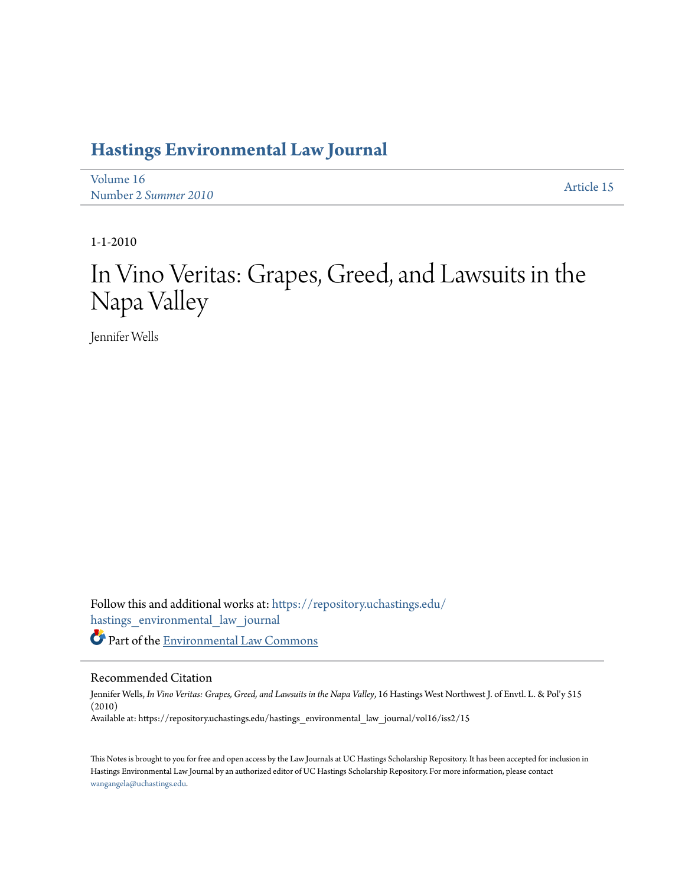## **[Hastings Environmental Law Journal](https://repository.uchastings.edu/hastings_environmental_law_journal?utm_source=repository.uchastings.edu%2Fhastings_environmental_law_journal%2Fvol16%2Fiss2%2F15&utm_medium=PDF&utm_campaign=PDFCoverPages)**

[Volume 16](https://repository.uchastings.edu/hastings_environmental_law_journal/vol16?utm_source=repository.uchastings.edu%2Fhastings_environmental_law_journal%2Fvol16%2Fiss2%2F15&utm_medium=PDF&utm_campaign=PDFCoverPages) Number 2 *[Summer 2010](https://repository.uchastings.edu/hastings_environmental_law_journal/vol16/iss2?utm_source=repository.uchastings.edu%2Fhastings_environmental_law_journal%2Fvol16%2Fiss2%2F15&utm_medium=PDF&utm_campaign=PDFCoverPages)* [Article 15](https://repository.uchastings.edu/hastings_environmental_law_journal/vol16/iss2/15?utm_source=repository.uchastings.edu%2Fhastings_environmental_law_journal%2Fvol16%2Fiss2%2F15&utm_medium=PDF&utm_campaign=PDFCoverPages)

1-1-2010

# In Vino Veritas: Grapes, Greed, and Lawsuits in the Napa Valley

Jennifer Wells

Follow this and additional works at: [https://repository.uchastings.edu/](https://repository.uchastings.edu/hastings_environmental_law_journal?utm_source=repository.uchastings.edu%2Fhastings_environmental_law_journal%2Fvol16%2Fiss2%2F15&utm_medium=PDF&utm_campaign=PDFCoverPages) [hastings\\_environmental\\_law\\_journal](https://repository.uchastings.edu/hastings_environmental_law_journal?utm_source=repository.uchastings.edu%2Fhastings_environmental_law_journal%2Fvol16%2Fiss2%2F15&utm_medium=PDF&utm_campaign=PDFCoverPages) Part of the [Environmental Law Commons](http://network.bepress.com/hgg/discipline/599?utm_source=repository.uchastings.edu%2Fhastings_environmental_law_journal%2Fvol16%2Fiss2%2F15&utm_medium=PDF&utm_campaign=PDFCoverPages)

## Recommended Citation

Jennifer Wells, *In Vino Veritas: Grapes, Greed, and Lawsuits in the Napa Valley*, 16 Hastings West Northwest J. of Envtl. L. & Pol'y 515 (2010) Available at: https://repository.uchastings.edu/hastings\_environmental\_law\_journal/vol16/iss2/15

This Notes is brought to you for free and open access by the Law Journals at UC Hastings Scholarship Repository. It has been accepted for inclusion in Hastings Environmental Law Journal by an authorized editor of UC Hastings Scholarship Repository. For more information, please contact [wangangela@uchastings.edu](mailto:wangangela@uchastings.edu).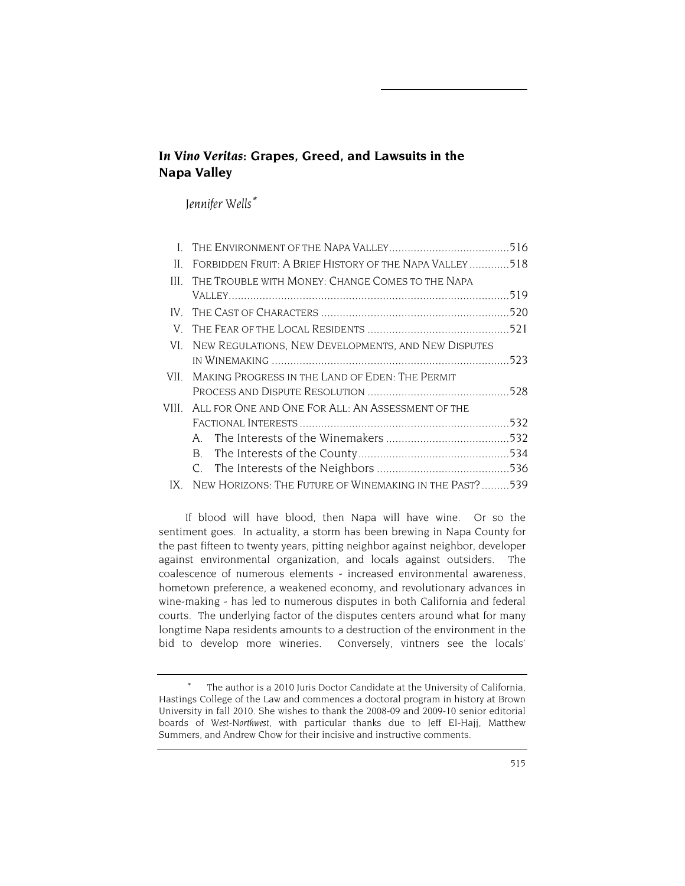## *In Vino Veritas***: Grapes, Greed, and Lawsuits in the Napa Valley**

*Jennifer Wells*<sup>∗</sup>

| THE TROUBLE WITH MONEY: CHANGE COMES TO THE NAPA<br>III.   |                                                                                                                  |
|------------------------------------------------------------|------------------------------------------------------------------------------------------------------------------|
|                                                            |                                                                                                                  |
| IV –                                                       |                                                                                                                  |
|                                                            |                                                                                                                  |
| NEW REGULATIONS, NEW DEVELOPMENTS, AND NEW DISPUTES<br>VL. |                                                                                                                  |
|                                                            |                                                                                                                  |
| MAKING PROGRESS IN THE LAND OF EDEN: THE PERMIT<br>VII –   |                                                                                                                  |
|                                                            |                                                                                                                  |
| VIII.<br>ALL FOR ONE AND ONE FOR ALL: AN ASSESSMENT OF THE |                                                                                                                  |
|                                                            |                                                                                                                  |
| A                                                          |                                                                                                                  |
| B.                                                         |                                                                                                                  |
|                                                            |                                                                                                                  |
| IX                                                         |                                                                                                                  |
|                                                            | FORBIDDEN FRUIT: A BRIEF HISTORY OF THE NAPA VALLEY518<br>NEW HORIZONS: THE FUTURE OF WINEMAKING IN THE PAST?539 |

If blood will have blood, then Napa will have wine. Or so the sentiment goes. In actuality, a storm has been brewing in Napa County for the past fifteen to twenty years, pitting neighbor against neighbor, developer against environmental organization, and locals against outsiders. The coalescence of numerous elements - increased environmental awareness, hometown preference, a weakened economy, and revolutionary advances in wine-making - has led to numerous disputes in both California and federal courts. The underlying factor of the disputes centers around what for many longtime Napa residents amounts to a destruction of the environment in the bid to develop more wineries. Conversely, vintners see the locals'

The author is a 2010 Juris Doctor Candidate at the University of California, Hastings College of the Law and commences a doctoral program in history at Brown University in fall 2010. She wishes to thank the 2008-09 and 2009-10 senior editorial boards of *West-Northwest*, with particular thanks due to Jeff El-Hajj, Matthew Summers, and Andrew Chow for their incisive and instructive comments.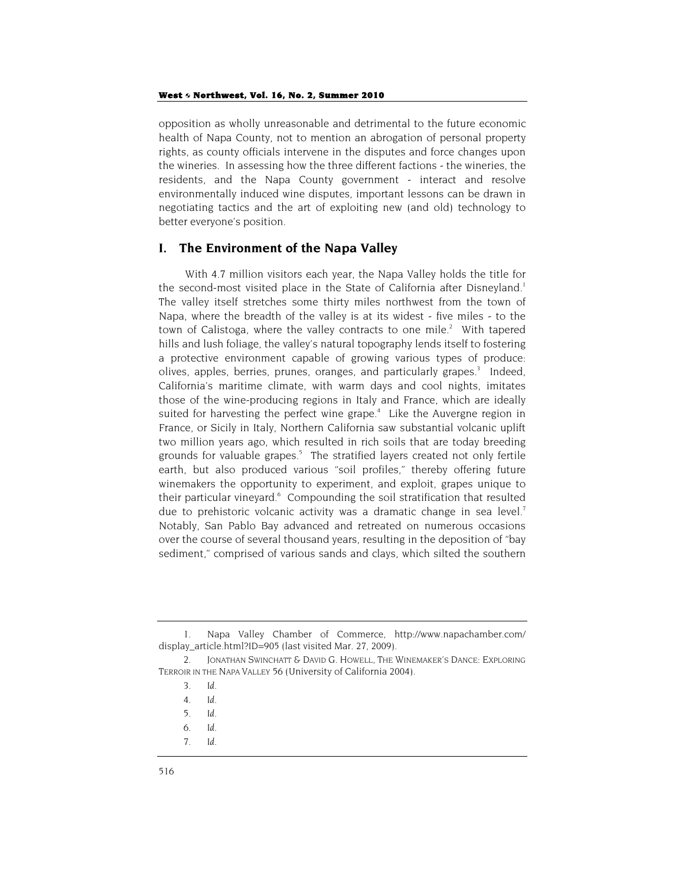opposition as wholly unreasonable and detrimental to the future economic health of Napa County, not to mention an abrogation of personal property rights, as county officials intervene in the disputes and force changes upon the wineries. In assessing how the three different factions - the wineries, the residents, and the Napa County government - interact and resolve environmentally induced wine disputes, important lessons can be drawn in negotiating tactics and the art of exploiting new (and old) technology to better everyone's position.

## **I. The Environment of the Napa Valley**

With 4.7 million visitors each year, the Napa Valley holds the title for the second-most visited place in the State of California after Disneyland.<sup>1</sup> The valley itself stretches some thirty miles northwest from the town of Napa, where the breadth of the valley is at its widest - five miles - to the town of Calistoga, where the valley contracts to one mile. $2$  With tapered hills and lush foliage, the valley's natural topography lends itself to fostering a protective environment capable of growing various types of produce: olives, apples, berries, prunes, oranges, and particularly grapes.<sup>3</sup> Indeed, California's maritime climate, with warm days and cool nights, imitates those of the wine-producing regions in Italy and France, which are ideally suited for harvesting the perfect wine grape.<sup>4</sup> Like the Auvergne region in France, or Sicily in Italy, Northern California saw substantial volcanic uplift two million years ago, which resulted in rich soils that are today breeding grounds for valuable grapes.<sup>5</sup> The stratified layers created not only fertile earth, but also produced various "soil profiles," thereby offering future winemakers the opportunity to experiment, and exploit, grapes unique to their particular vineyard.<sup>6</sup> Compounding the soil stratification that resulted due to prehistoric volcanic activity was a dramatic change in sea level.<sup>7</sup> Notably, San Pablo Bay advanced and retreated on numerous occasions over the course of several thousand years, resulting in the deposition of "bay sediment," comprised of various sands and clays, which silted the southern

<sup>1.</sup> Napa Valley Chamber of Commerce, http://www.napachamber.com/ display\_article.html?ID=905 (last visited Mar. 27, 2009).

<sup>2.</sup> JONATHAN SWINCHATT & DAVID G. HOWELL, THE WINEMAKER'S DANCE: EXPLORING TERROIR IN THE NAPA VALLEY 56 (University of California 2004).

<sup>3</sup>*. Id*.

<sup>4</sup>*. Id.*

<sup>5</sup>*. Id*.

<sup>6</sup>*. Id*.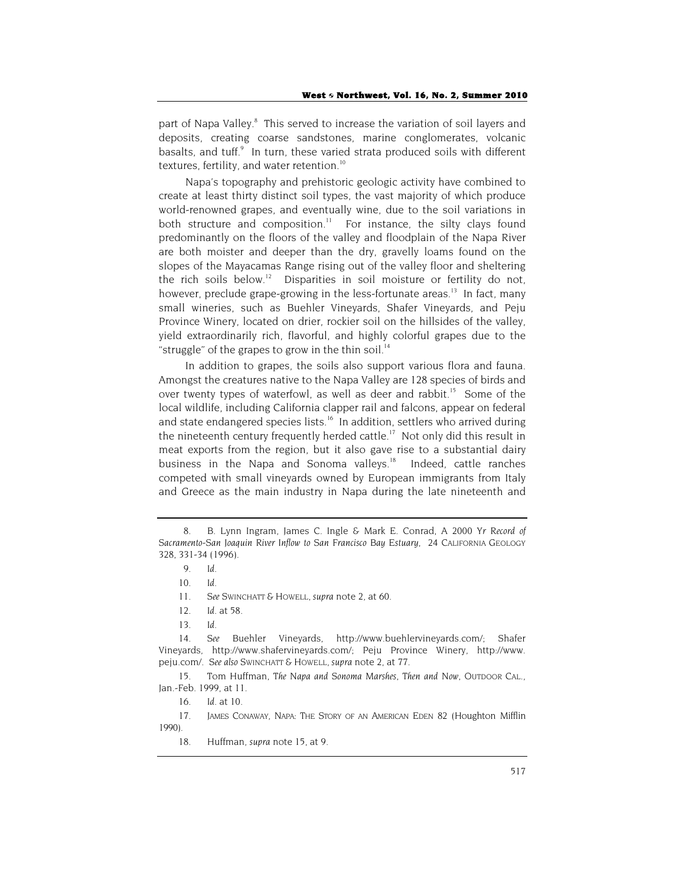part of Napa Valley.<sup>8</sup> This served to increase the variation of soil layers and deposits, creating coarse sandstones, marine conglomerates, volcanic basalts, and tuff.<sup>9</sup> In turn, these varied strata produced soils with different textures, fertility, and water retention.<sup>10</sup>

Napa's topography and prehistoric geologic activity have combined to create at least thirty distinct soil types, the vast majority of which produce world-renowned grapes, and eventually wine, due to the soil variations in both structure and composition.<sup>11</sup> For instance, the silty clays found predominantly on the floors of the valley and floodplain of the Napa River are both moister and deeper than the dry, gravelly loams found on the slopes of the Mayacamas Range rising out of the valley floor and sheltering the rich soils below.<sup>12</sup> Disparities in soil moisture or fertility do not, however, preclude grape-growing in the less-fortunate areas.<sup>13</sup> In fact, many small wineries, such as Buehler Vineyards, Shafer Vineyards, and Peju Province Winery, located on drier, rockier soil on the hillsides of the valley, yield extraordinarily rich, flavorful, and highly colorful grapes due to the "struggle" of the grapes to grow in the thin soil.<sup>14</sup>

In addition to grapes, the soils also support various flora and fauna. Amongst the creatures native to the Napa Valley are 128 species of birds and over twenty types of waterfowl, as well as deer and rabbit.<sup>15</sup> Some of the local wildlife, including California clapper rail and falcons, appear on federal and state endangered species lists.<sup>16</sup> In addition, settlers who arrived during the nineteenth century frequently herded cattle.<sup>17</sup> Not only did this result in meat exports from the region, but it also gave rise to a substantial dairy business in the Napa and Sonoma valleys.<sup>18</sup> Indeed, cattle ranches competed with small vineyards owned by European immigrants from Italy and Greece as the main industry in Napa during the late nineteenth and

15. Tom Huffman, *The Napa and Sonoma Marshes, Then and Now*, OUTDOOR CAL., Jan.-Feb. 1999, at 11.

17. JAMES CONAWAY, NAPA: THE STORY OF AN AMERICAN EDEN 82 (Houghton Mifflin 1990).

18. Huffman, *supra* note 15, at 9.

<sup>8.</sup> B. Lynn Ingram, James C. Ingle & Mark E. Conrad, *A 2000 Yr Record of Sacramento-San Joaquin River Inflow to San Francisco Bay Estuary,* 24 CALIFORNIA GEOLOGY 328, 331-34 (1996).

<sup>9</sup>*. Id*.

<sup>10</sup>*. Id*.

<sup>11</sup>*. See* SWINCHATT & HOWELL, *supra* note 2, at 60.

<sup>12</sup>*. Id.* at 58.

<sup>13</sup>*. Id.*

<sup>14</sup>*. See* Buehler Vineyards, http://www.buehlervineyards.com/; Shafer Vineyards, http://www.shafervineyards.com/; Peju Province Winery, http://www. peju.com/. *See also* SWINCHATT & HOWELL, *supra* note 2, at 77.

<sup>16</sup>*. Id*. at 10.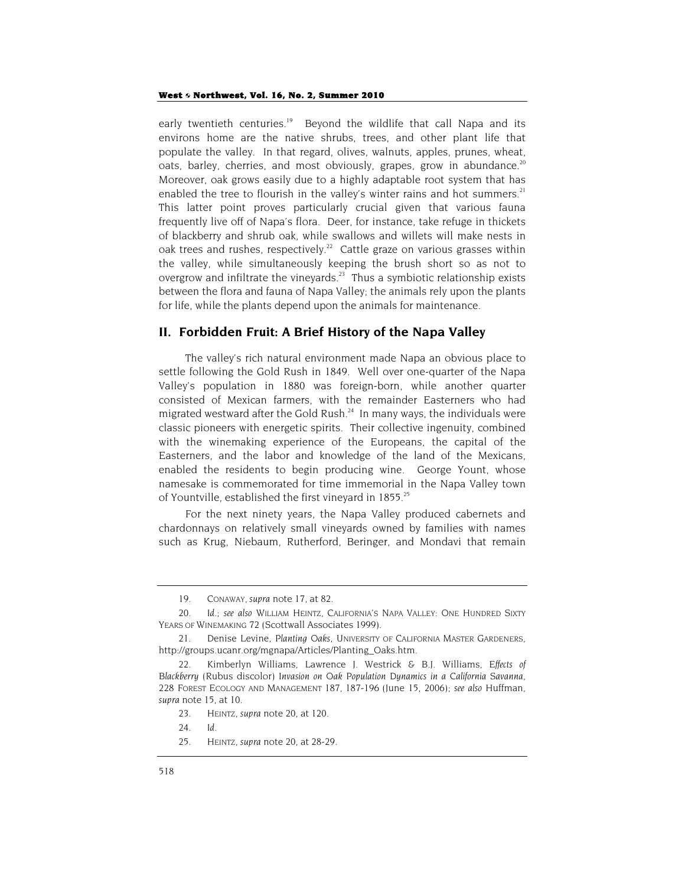#### West 6 Northwest, Vol. 16, No. 2, Summer 2010

early twentieth centuries.<sup>19</sup> Beyond the wildlife that call Napa and its environs home are the native shrubs, trees, and other plant life that populate the valley. In that regard, olives, walnuts, apples, prunes, wheat, oats, barley, cherries, and most obviously, grapes, grow in abundance.<sup>20</sup> Moreover, oak grows easily due to a highly adaptable root system that has enabled the tree to flourish in the valley's winter rains and hot summers.<sup>21</sup> This latter point proves particularly crucial given that various fauna frequently live off of Napa's flora. Deer, for instance, take refuge in thickets of blackberry and shrub oak, while swallows and willets will make nests in oak trees and rushes, respectively.<sup>22</sup> Cattle graze on various grasses within the valley, while simultaneously keeping the brush short so as not to overgrow and infiltrate the vineyards.<sup>23</sup> Thus a symbiotic relationship exists between the flora and fauna of Napa Valley; the animals rely upon the plants for life, while the plants depend upon the animals for maintenance.

## **II. Forbidden Fruit: A Brief History of the Napa Valley**

The valley's rich natural environment made Napa an obvious place to settle following the Gold Rush in 1849. Well over one-quarter of the Napa Valley's population in 1880 was foreign-born, while another quarter consisted of Mexican farmers, with the remainder Easterners who had migrated westward after the Gold Rush. $^{24}$  In many ways, the individuals were classic pioneers with energetic spirits. Their collective ingenuity, combined with the winemaking experience of the Europeans, the capital of the Easterners, and the labor and knowledge of the land of the Mexicans, enabled the residents to begin producing wine. George Yount, whose namesake is commemorated for time immemorial in the Napa Valley town of Yountville, established the first vineyard in 1855.<sup>25</sup>

For the next ninety years, the Napa Valley produced cabernets and chardonnays on relatively small vineyards owned by families with names such as Krug, Niebaum, Rutherford, Beringer, and Mondavi that remain

25. HEINTZ, *supra* note 20, at 28-29.

<sup>19.</sup> CONAWAY, *supra* note 17, at 82.

<sup>20</sup>*. Id*.; *see also* WILLIAM HEINTZ, CALIFORNIA'S NAPA VALLEY: ONE HUNDRED SIXTY YEARS OF WINEMAKING 72 (Scottwall Associates 1999).

<sup>21.</sup> Denise Levine, *Planting Oaks,* UNIVERSITY OF CALIFORNIA MASTER GARDENERS, http://groups.ucanr.org/mgnapa/Articles/Planting\_Oaks.htm.

<sup>22.</sup> Kimberlyn Williams, Lawrence J. Westrick & B.J. Williams, *Effects of Blackberry (*Rubus discolor*) Invasion on Oak Population Dynamics in a California Savanna*, 228 FOREST ECOLOGY AND MANAGEMENT 187, 187-196 (June 15, 2006); *see also* Huffman, *supra* note 15, at 10.

<sup>23.</sup> HEINTZ, *supra* note 20, at 120.

<sup>24</sup>*. Id*.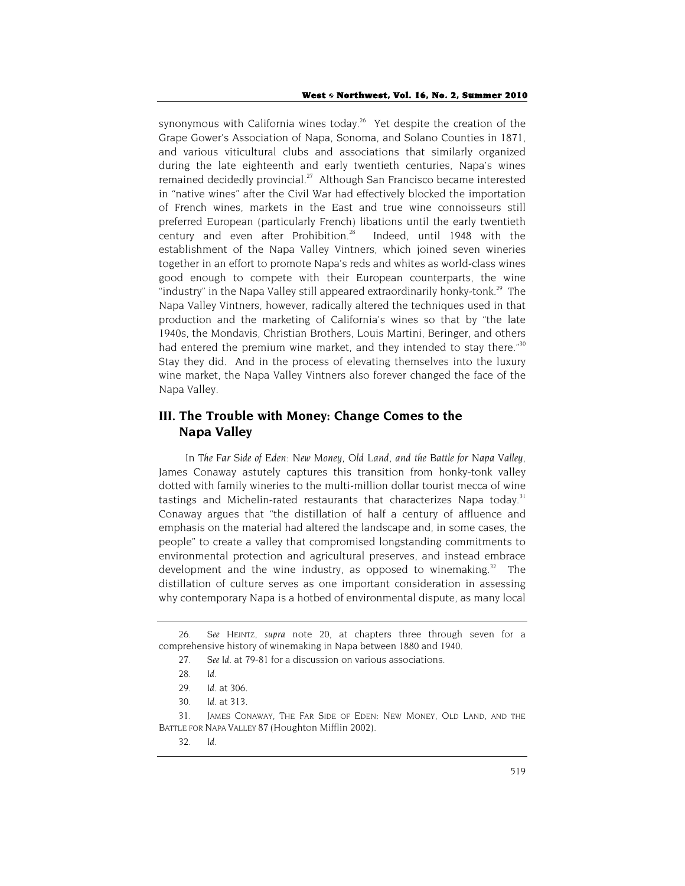synonymous with California wines today.<sup>26</sup> Yet despite the creation of the Grape Gower's Association of Napa, Sonoma, and Solano Counties in 1871, and various viticultural clubs and associations that similarly organized during the late eighteenth and early twentieth centuries, Napa's wines remained decidedly provincial.<sup>27</sup> Although San Francisco became interested in "native wines" after the Civil War had effectively blocked the importation of French wines, markets in the East and true wine connoisseurs still preferred European (particularly French) libations until the early twentieth century and even after Prohibition.<sup>28</sup> Indeed, until 1948 with the establishment of the Napa Valley Vintners, which joined seven wineries together in an effort to promote Napa's reds and whites as world-class wines good enough to compete with their European counterparts, the wine "industry" in the Napa Valley still appeared extraordinarily honky-tonk.<sup>29</sup> The Napa Valley Vintners, however, radically altered the techniques used in that production and the marketing of California's wines so that by "the late 1940s, the Mondavis, Christian Brothers, Louis Martini, Beringer, and others had entered the premium wine market, and they intended to stay there." $30$ Stay they did. And in the process of elevating themselves into the luxury wine market, the Napa Valley Vintners also forever changed the face of the Napa Valley.

## **III. The Trouble with Money: Change Comes to the Napa Valley**

In *The Far Side of Eden: New Money, Old Land, and the Battle for Napa Valley*, James Conaway astutely captures this transition from honky-tonk valley dotted with family wineries to the multi-million dollar tourist mecca of wine tastings and Michelin-rated restaurants that characterizes Napa today.<sup>31</sup> Conaway argues that "the distillation of half a century of affluence and emphasis on the material had altered the landscape and, in some cases, the people" to create a valley that compromised longstanding commitments to environmental protection and agricultural preserves, and instead embrace development and the wine industry, as opposed to winemaking.<sup>32</sup> The distillation of culture serves as one important consideration in assessing why contemporary Napa is a hotbed of environmental dispute, as many local

<sup>26</sup>*. See* HEINTZ, *supra* note 20, at chapters three through seven for a comprehensive history of winemaking in Napa between 1880 and 1940.

<sup>27</sup>*. See Id*. at 79-81 for a discussion on various associations.

<sup>28</sup>*. Id*.

<sup>29</sup>*. Id.* at 306.

<sup>30</sup>*. Id*. at 313.

<sup>31.</sup> JAMES CONAWAY, THE FAR SIDE OF EDEN: NEW MONEY, OLD LAND, AND THE BATTLE FOR NAPA VALLEY 87 (Houghton Mifflin 2002).

<sup>32</sup>*. Id*.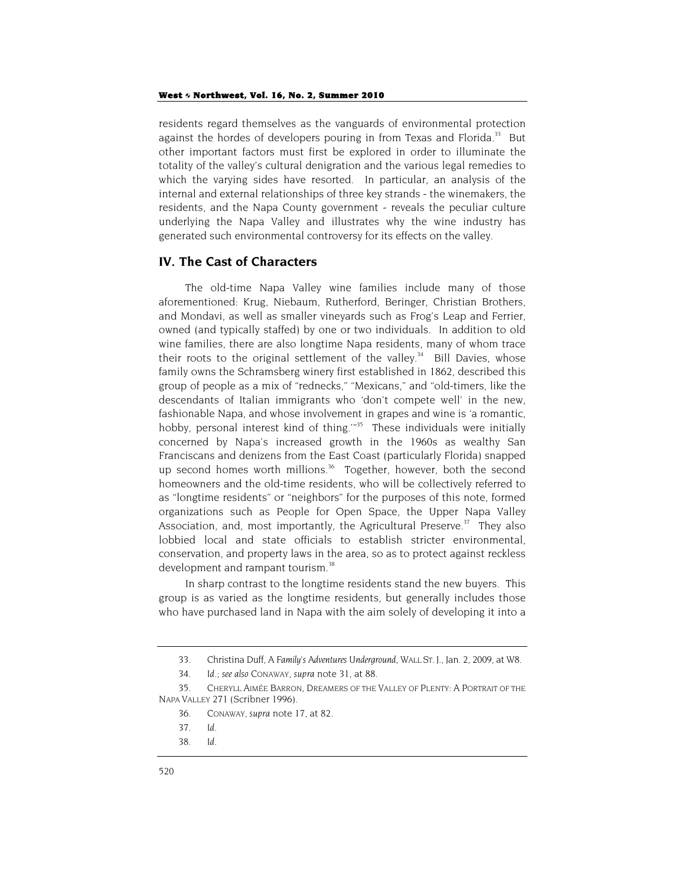residents regard themselves as the vanguards of environmental protection against the hordes of developers pouring in from Texas and Florida.<sup>33</sup> But other important factors must first be explored in order to illuminate the totality of the valley's cultural denigration and the various legal remedies to which the varying sides have resorted. In particular, an analysis of the internal and external relationships of three key strands - the winemakers, the residents, and the Napa County government - reveals the peculiar culture underlying the Napa Valley and illustrates why the wine industry has generated such environmental controversy for its effects on the valley.

## **IV. The Cast of Characters**

The old-time Napa Valley wine families include many of those aforementioned: Krug, Niebaum, Rutherford, Beringer, Christian Brothers, and Mondavi, as well as smaller vineyards such as Frog's Leap and Ferrier, owned (and typically staffed) by one or two individuals. In addition to old wine families, there are also longtime Napa residents, many of whom trace their roots to the original settlement of the valley.<sup>34</sup> Bill Davies, whose family owns the Schramsberg winery first established in 1862, described this group of people as a mix of "rednecks," "Mexicans," and "old-timers, like the descendants of Italian immigrants who 'don't compete well' in the new, fashionable Napa, and whose involvement in grapes and wine is 'a romantic, hobby, personal interest kind of thing.<sup>1935</sup> These individuals were initially concerned by Napa's increased growth in the 1960s as wealthy San Franciscans and denizens from the East Coast (particularly Florida) snapped up second homes worth millions.<sup>36</sup> Together, however, both the second homeowners and the old-time residents, who will be collectively referred to as "longtime residents" or "neighbors" for the purposes of this note, formed organizations such as People for Open Space, the Upper Napa Valley Association, and, most importantly, the Agricultural Preserve. $37$  They also lobbied local and state officials to establish stricter environmental, conservation, and property laws in the area, so as to protect against reckless development and rampant tourism.<sup>38</sup>

In sharp contrast to the longtime residents stand the new buyers. This group is as varied as the longtime residents, but generally includes those who have purchased land in Napa with the aim solely of developing it into a

<sup>33.</sup> Christina Duff, *A Family's Adventures Underground*, WALL ST. J., Jan. 2, 2009, at W8.

<sup>34</sup>*. Id*.; *see also* CONAWAY, *supra* note 31, at 88.

<sup>35.</sup> CHERYLL AIMÉE BARRON, DREAMERS OF THE VALLEY OF PLENTY: A PORTRAIT OF THE NAPA VALLEY 271 (Scribner 1996).

<sup>36.</sup> CONAWAY, *supra* note 17, at 82.

<sup>37</sup>*. Id*.

<sup>38</sup>*. Id*.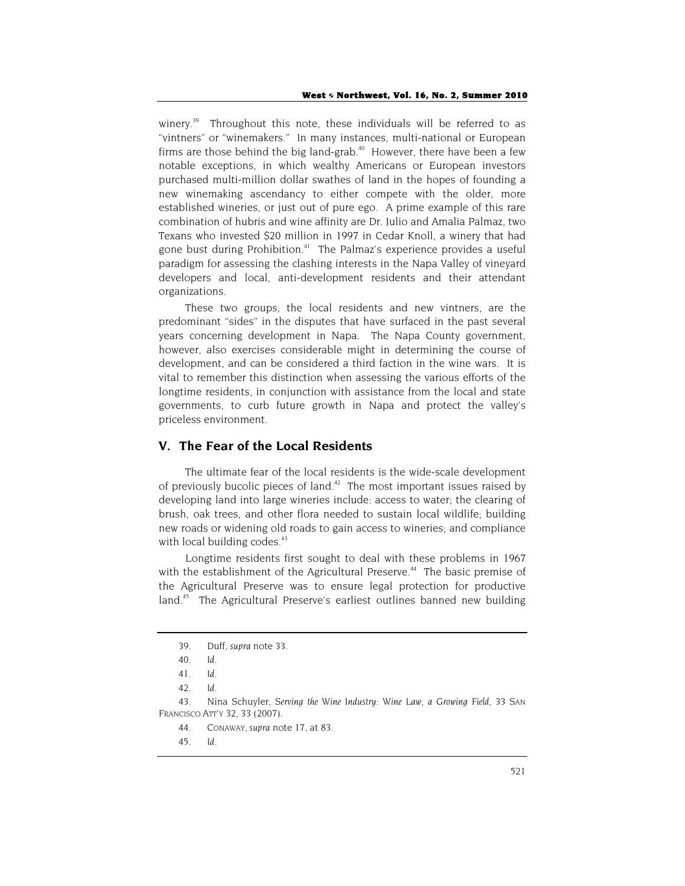winery.<sup>39</sup> Throughout this note, these individuals will be referred to as "vintners" or "winemakers." In many instances, multi-national or European firms are those behind the big land-grab.<sup>40</sup> However, there have been a few notable exceptions, in which wealthy Americans or European investors purchased multi-million dollar swathes of land in the hopes of founding a new winemaking ascendancy to either compete with the older, more established wineries, or just out of pure ego. A prime example of this rare combination of hubris and wine affinity are Dr. Julio and Amalia Palmaz, two Texans who invested \$20 million in 1997 in Cedar Knoll, a winery that had gone bust during Prohibition.<sup>41</sup> The Palmaz's experience provides a useful paradigm for assessing the clashing interests in the Napa Valley of vineyard developers and local, anti-development residents and their attendant organizations.

These two groups, the local residents and new vintners, are the predominant "sides" in the disputes that have surfaced in the past several years concerning development in Napa. The Napa County government, however, also exercises considerable might in determining the course of development, and can be considered a third faction in the wine wars. It is vital to remember this distinction when assessing the various efforts of the longtime residents, in conjunction with assistance from the local and state governments, to curb future growth in Napa and protect the valley's priceless environment.

## **V. The Fear of the Local Residents**

The ultimate fear of the local residents is the wide-scale development of previously bucolic pieces of land. $42$  The most important issues raised by developing land into large wineries include: access to water; the clearing of brush, oak trees, and other flora needed to sustain local wildlife; building new roads or widening old roads to gain access to wineries; and compliance with local building codes.<sup>43</sup>

Longtime residents first sought to deal with these problems in 1967 with the establishment of the Agricultural Preserve.<sup>44</sup> The basic premise of the Agricultural Preserve was to ensure legal protection for productive land.<sup>45</sup> The Agricultural Preserve's earliest outlines banned new building

43. Nina Schuyler, *Serving the Wine Industry: Wine Law, a Growing Field*, 33 SAN FRANCISCO ATT'Y 32, 33 (2007).

- 44. CONAWAY, *supra* note 17, at 83.
- 45*. Id*.

<sup>39.</sup> Duff, *supra* note 33.

<sup>40</sup>*. Id.*

<sup>41</sup>*. Id*.

<sup>42</sup>*. Id.*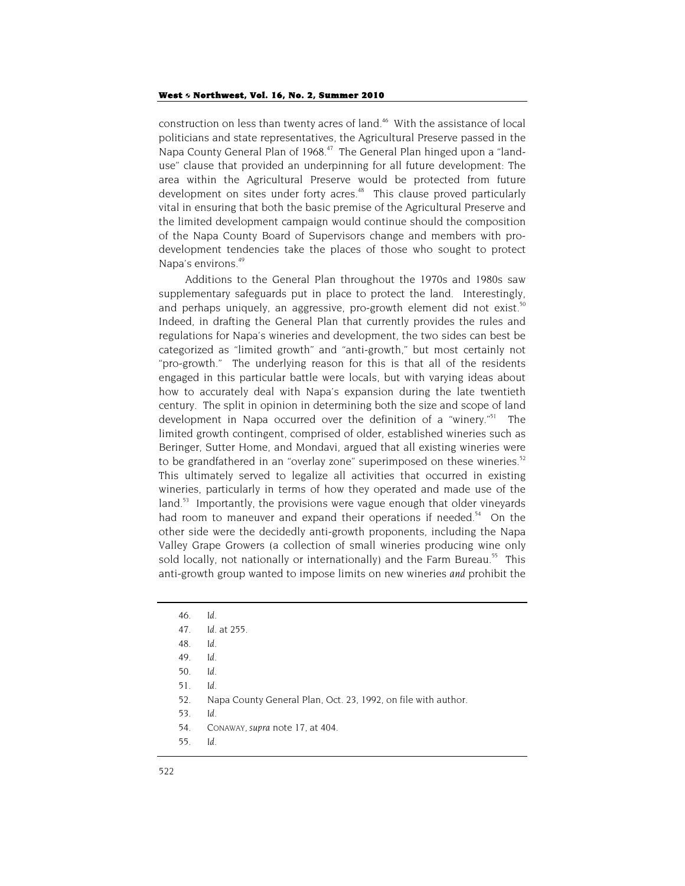#### West  $\diamond$  Northwest, Vol. 16, No. 2, Summer 2010

construction on less than twenty acres of land.<sup>46</sup> With the assistance of local politicians and state representatives, the Agricultural Preserve passed in the Napa County General Plan of 1968.<sup>47</sup> The General Plan hinged upon a "landuse" clause that provided an underpinning for all future development: The area within the Agricultural Preserve would be protected from future development on sites under forty acres.<sup>48</sup> This clause proved particularly vital in ensuring that both the basic premise of the Agricultural Preserve and the limited development campaign would continue should the composition of the Napa County Board of Supervisors change and members with prodevelopment tendencies take the places of those who sought to protect Napa's environs.<sup>49</sup>

Additions to the General Plan throughout the 1970s and 1980s saw supplementary safeguards put in place to protect the land. Interestingly, and perhaps uniquely, an aggressive, pro-growth element did not exist.<sup>50</sup> Indeed, in drafting the General Plan that currently provides the rules and regulations for Napa's wineries and development, the two sides can best be categorized as "limited growth" and "anti-growth," but most certainly not "pro-growth." The underlying reason for this is that all of the residents engaged in this particular battle were locals, but with varying ideas about how to accurately deal with Napa's expansion during the late twentieth century. The split in opinion in determining both the size and scope of land development in Napa occurred over the definition of a "winery."<sup>51</sup> The limited growth contingent, comprised of older, established wineries such as Beringer, Sutter Home, and Mondavi, argued that all existing wineries were to be grandfathered in an "overlay zone" superimposed on these wineries. $52$ This ultimately served to legalize all activities that occurred in existing wineries, particularly in terms of how they operated and made use of the land.<sup>53</sup> Importantly, the provisions were vague enough that older vineyards had room to maneuver and expand their operations if needed.<sup>54</sup> On the other side were the decidedly anti-growth proponents, including the Napa Valley Grape Growers (a collection of small wineries producing wine only sold locally, not nationally or internationally) and the Farm Bureau.<sup>55</sup> This anti-growth group wanted to impose limits on new wineries *and* prohibit the

- 54. CONAWAY, *supra* note 17, at 404.
- 55*. Id.*

<sup>46</sup>*. Id*.

<sup>47</sup>*. Id.* at 255.

<sup>48</sup>*. Id.*

<sup>49</sup>*. Id*.

<sup>50</sup>*. Id*.

<sup>51</sup>*. Id*.

<sup>52.</sup> Napa County General Plan, Oct. 23, 1992, on file with author.

<sup>53</sup>*. Id.*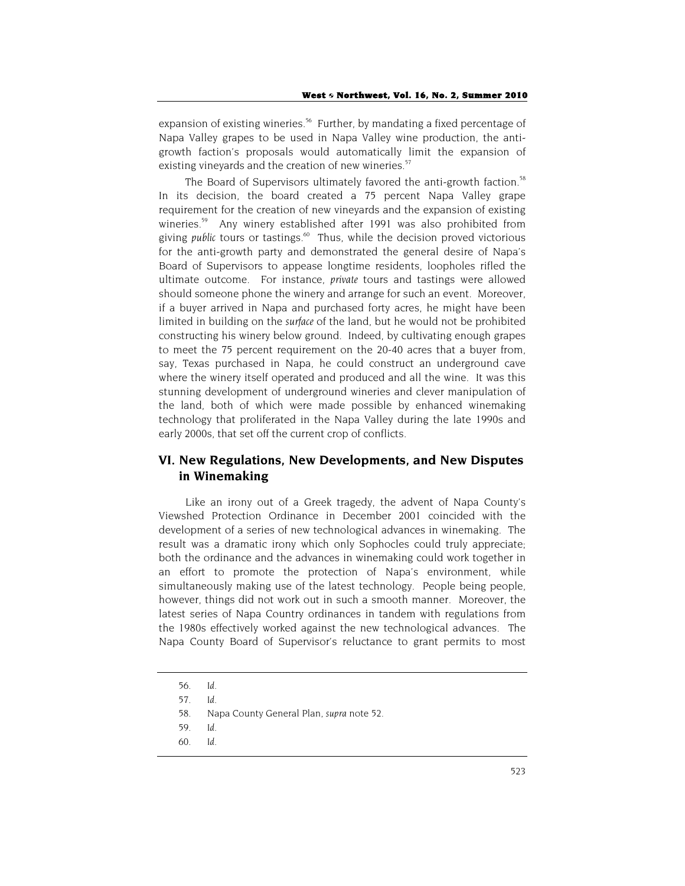expansion of existing wineries.<sup>56</sup> Further, by mandating a fixed percentage of Napa Valley grapes to be used in Napa Valley wine production, the antigrowth faction's proposals would automatically limit the expansion of existing vineyards and the creation of new wineries.<sup>57</sup>

The Board of Supervisors ultimately favored the anti-growth faction.<sup>58</sup> In its decision, the board created a 75 percent Napa Valley grape requirement for the creation of new vineyards and the expansion of existing wineries.<sup>59</sup> Any winery established after 1991 was also prohibited from giving *public* tours or tastings.60 Thus, while the decision proved victorious for the anti-growth party and demonstrated the general desire of Napa's Board of Supervisors to appease longtime residents, loopholes rifled the ultimate outcome. For instance, *private* tours and tastings were allowed should someone phone the winery and arrange for such an event. Moreover, if a buyer arrived in Napa and purchased forty acres, he might have been limited in building on the *surface* of the land, but he would not be prohibited constructing his winery below ground. Indeed, by cultivating enough grapes to meet the 75 percent requirement on the 20-40 acres that a buyer from, say, Texas purchased in Napa, he could construct an underground cave where the winery itself operated and produced and all the wine. It was this stunning development of underground wineries and clever manipulation of the land, both of which were made possible by enhanced winemaking technology that proliferated in the Napa Valley during the late 1990s and early 2000s, that set off the current crop of conflicts.

## **VI. New Regulations, New Developments, and New Disputes in Winemaking**

Like an irony out of a Greek tragedy, the advent of Napa County's Viewshed Protection Ordinance in December 2001 coincided with the development of a series of new technological advances in winemaking. The result was a dramatic irony which only Sophocles could truly appreciate; both the ordinance and the advances in winemaking could work together in an effort to promote the protection of Napa's environment, while simultaneously making use of the latest technology. People being people, however, things did not work out in such a smooth manner. Moreover, the latest series of Napa Country ordinances in tandem with regulations from the 1980s effectively worked against the new technological advances. The Napa County Board of Supervisor's reluctance to grant permits to most

<sup>56</sup>*. Id.*

<sup>57</sup>*. Id.*

<sup>58.</sup> Napa County General Plan, *supra* note 52.

<sup>59.</sup> *Id*.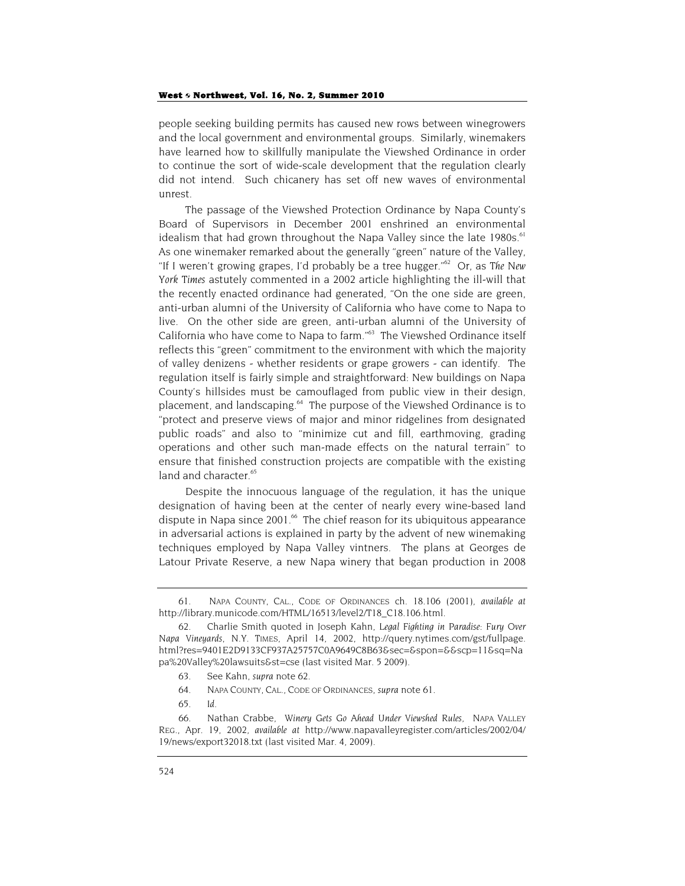#### West  $\circ$  Northwest, Vol. 16, No. 2, Summer 2010

people seeking building permits has caused new rows between winegrowers and the local government and environmental groups. Similarly, winemakers have learned how to skillfully manipulate the Viewshed Ordinance in order to continue the sort of wide-scale development that the regulation clearly did not intend. Such chicanery has set off new waves of environmental unrest.

The passage of the Viewshed Protection Ordinance by Napa County's Board of Supervisors in December 2001 enshrined an environmental idealism that had grown throughout the Napa Valley since the late  $1980s$ .<sup>61</sup> As one winemaker remarked about the generally "green" nature of the Valley, "If I weren't growing grapes, I'd probably be a tree hugger."62 Or, as *The New York Times* astutely commented in a 2002 article highlighting the ill-will that the recently enacted ordinance had generated, "On the one side are green, anti-urban alumni of the University of California who have come to Napa to live. On the other side are green, anti-urban alumni of the University of California who have come to Napa to farm."<sup>63</sup> The Viewshed Ordinance itself reflects this "green" commitment to the environment with which the majority of valley denizens - whether residents or grape growers - can identify. The regulation itself is fairly simple and straightforward: New buildings on Napa County's hillsides must be camouflaged from public view in their design, placement, and landscaping.<sup>64</sup> The purpose of the Viewshed Ordinance is to "protect and preserve views of major and minor ridgelines from designated public roads" and also to "minimize cut and fill, earthmoving, grading operations and other such man-made effects on the natural terrain" to ensure that finished construction projects are compatible with the existing land and character.<sup>65</sup>

Despite the innocuous language of the regulation, it has the unique designation of having been at the center of nearly every wine-based land dispute in Napa since 2001. $\frac{66}{5}$  The chief reason for its ubiquitous appearance in adversarial actions is explained in party by the advent of new winemaking techniques employed by Napa Valley vintners. The plans at Georges de Latour Private Reserve, a new Napa winery that began production in 2008

<sup>61.</sup> NAPA COUNTY, CAL., CODE OF ORDINANCES ch. 18.106 (2001), *available at* http://library.municode.com/HTML/16513/level2/T18\_C18.106.html.

<sup>62.</sup> Charlie Smith quoted in Joseph Kahn, *Legal Fighting in Paradise: Fury Over Napa Vineyards*, N.Y. TIMES, April 14, 2002, http://query.nytimes.com/gst/fullpage. html?res=9401E2D9133CF937A25757C0A9649C8B63&sec=&spon=&&scp=11&sq=Na pa%20Valley%20lawsuits&st=cse (last visited Mar. 5 2009).

<sup>63.</sup> See Kahn, *supra* note 62*.*

<sup>64</sup>*.* NAPA COUNTY, CAL., CODE OF ORDINANCES, *supra* note 61.

<sup>65</sup>*. Id*.

<sup>66.</sup> Nathan Crabbe, *Winery Gets Go Ahead Under Viewshed Rules*, NAPA VALLEY REG., Apr. 19, 2002, *available at* http://www.napavalleyregister.com/articles/2002/04/ 19/news/export32018.txt (last visited Mar. 4, 2009).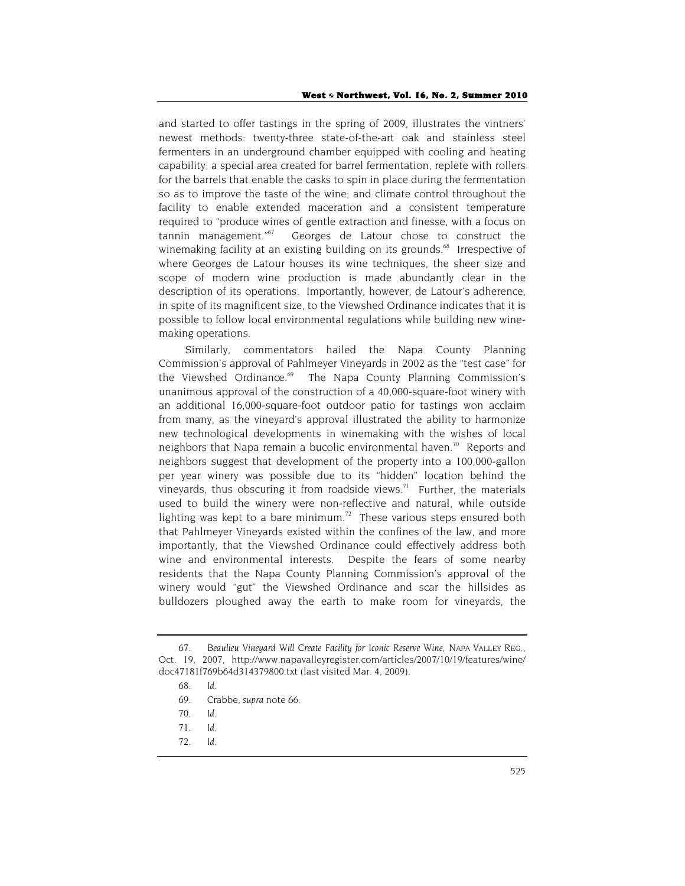and started to offer tastings in the spring of 2009, illustrates the vintners' newest methods: twenty-three state-of-the-art oak and stainless steel fermenters in an underground chamber equipped with cooling and heating capability; a special area created for barrel fermentation, replete with rollers for the barrels that enable the casks to spin in place during the fermentation so as to improve the taste of the wine; and climate control throughout the facility to enable extended maceration and a consistent temperature required to "produce wines of gentle extraction and finesse, with a focus on tannin management."<sup>67</sup> Georges de Latour chose to construct the winemaking facility at an existing building on its grounds. $68$  Irrespective of where Georges de Latour houses its wine techniques, the sheer size and scope of modern wine production is made abundantly clear in the description of its operations. Importantly, however, de Latour's adherence, in spite of its magnificent size, to the Viewshed Ordinance indicates that it is possible to follow local environmental regulations while building new winemaking operations.

Similarly, commentators hailed the Napa County Planning Commission's approval of Pahlmeyer Vineyards in 2002 as the "test case" for the Viewshed Ordinance.<sup>69</sup> The Napa County Planning Commission's unanimous approval of the construction of a 40,000-square-foot winery with an additional 16,000-square-foot outdoor patio for tastings won acclaim from many, as the vineyard's approval illustrated the ability to harmonize new technological developments in winemaking with the wishes of local neighbors that Napa remain a bucolic environmental haven.<sup>70</sup> Reports and neighbors suggest that development of the property into a 100,000-gallon per year winery was possible due to its "hidden" location behind the vineyards, thus obscuring it from roadside views.<sup>71</sup> Further, the materials used to build the winery were non-reflective and natural, while outside lighting was kept to a bare minimum.<sup>72</sup> These various steps ensured both that Pahlmeyer Vineyards existed within the confines of the law, and more importantly, that the Viewshed Ordinance could effectively address both wine and environmental interests. Despite the fears of some nearby residents that the Napa County Planning Commission's approval of the winery would "gut" the Viewshed Ordinance and scar the hillsides as bulldozers ploughed away the earth to make room for vineyards, the

<sup>67</sup>*. Beaulieu Vineyard Will Create Facility for Iconic Reserve Wine,* NAPA VALLEY REG., Oct. 19, 2007, http://www.napavalleyregister.com/articles/2007/10/19/features/wine/ doc47181f769b64d314379800.txt (last visited Mar. 4, 2009).

<sup>68</sup>*. Id.*

<sup>69.</sup> Crabbe, *supra* note 66.

<sup>70</sup>*. Id*.

<sup>71</sup>*. Id.*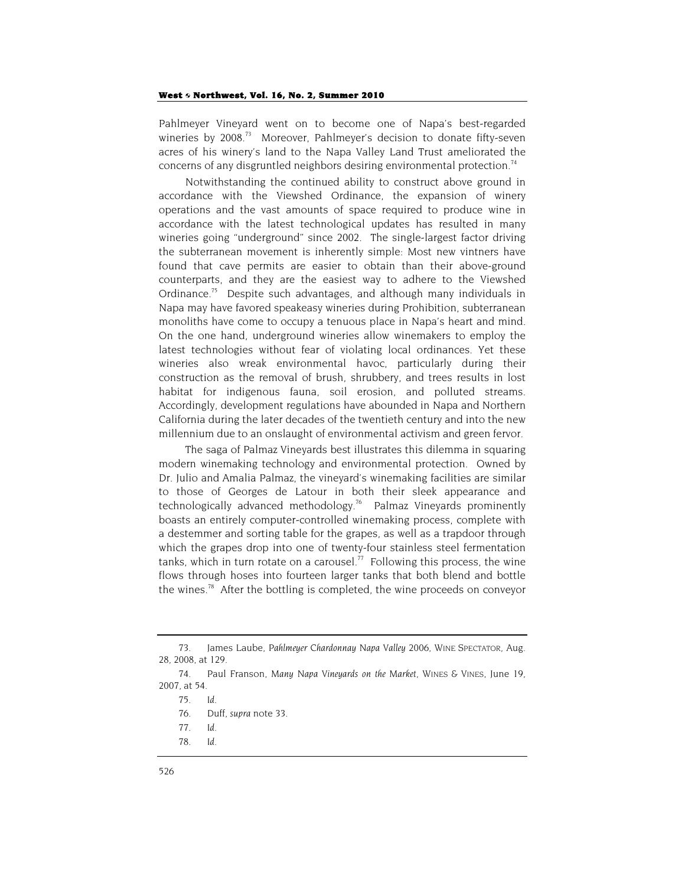#### West 6 Northwest, Vol. 16, No. 2, Summer 2010

Pahlmeyer Vineyard went on to become one of Napa's best-regarded wineries by 2008.<sup>73</sup> Moreover, Pahlmeyer's decision to donate fifty-seven acres of his winery's land to the Napa Valley Land Trust ameliorated the concerns of any disgruntled neighbors desiring environmental protection.<sup>74</sup>

Notwithstanding the continued ability to construct above ground in accordance with the Viewshed Ordinance, the expansion of winery operations and the vast amounts of space required to produce wine in accordance with the latest technological updates has resulted in many wineries going "underground" since 2002. The single-largest factor driving the subterranean movement is inherently simple: Most new vintners have found that cave permits are easier to obtain than their above-ground counterparts, and they are the easiest way to adhere to the Viewshed Ordinance.<sup>75</sup> Despite such advantages, and although many individuals in Napa may have favored speakeasy wineries during Prohibition, subterranean monoliths have come to occupy a tenuous place in Napa's heart and mind. On the one hand, underground wineries allow winemakers to employ the latest technologies without fear of violating local ordinances. Yet these wineries also wreak environmental havoc, particularly during their construction as the removal of brush, shrubbery, and trees results in lost habitat for indigenous fauna, soil erosion, and polluted streams. Accordingly, development regulations have abounded in Napa and Northern California during the later decades of the twentieth century and into the new millennium due to an onslaught of environmental activism and green fervor.

The saga of Palmaz Vineyards best illustrates this dilemma in squaring modern winemaking technology and environmental protection. Owned by Dr. Julio and Amalia Palmaz, the vineyard's winemaking facilities are similar to those of Georges de Latour in both their sleek appearance and technologically advanced methodology.<sup>76</sup> Palmaz Vineyards prominently boasts an entirely computer-controlled winemaking process, complete with a destemmer and sorting table for the grapes, as well as a trapdoor through which the grapes drop into one of twenty-four stainless steel fermentation tanks, which in turn rotate on a carousel.<sup>77</sup> Following this process, the wine flows through hoses into fourteen larger tanks that both blend and bottle the wines.78 After the bottling is completed, the wine proceeds on conveyor

<sup>73.</sup> James Laube, *Pahlmeyer Chardonnay Napa Valley 2006*, WINE SPECTATOR, Aug. 28, 2008, at 129.

<sup>74.</sup> Paul Franson, *Many Napa Vineyards on the Market*, WINES & VINES, June 19, 2007, at 54.

<sup>75</sup>*. Id*.

<sup>76.</sup> Duff, *supra* note 33.

<sup>77</sup>*. Id.*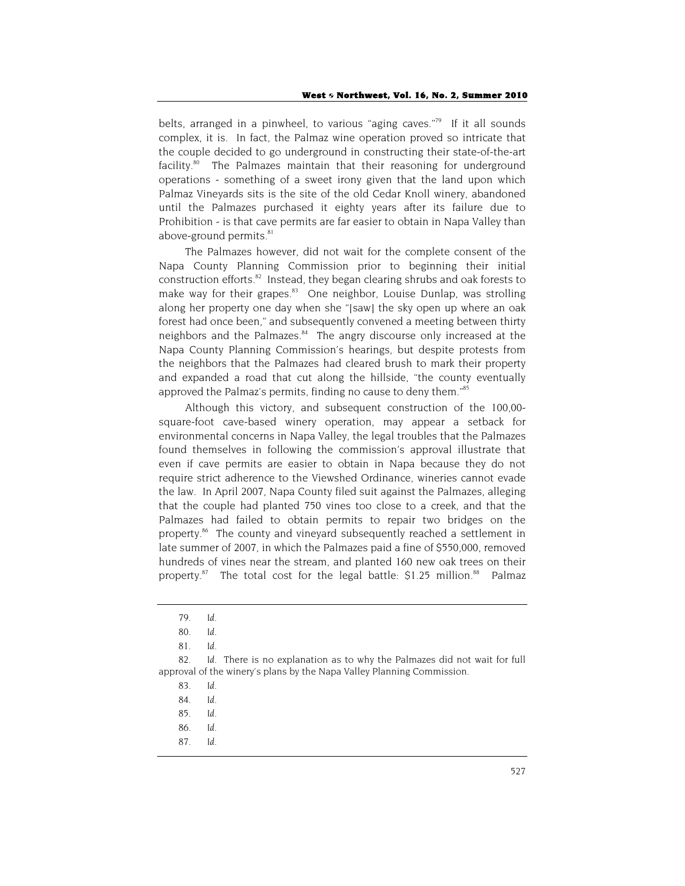belts, arranged in a pinwheel, to various "aging caves."<sup>79</sup> If it all sounds complex, it is. In fact, the Palmaz wine operation proved so intricate that the couple decided to go underground in constructing their state-of-the-art facility.<sup>80</sup> The Palmazes maintain that their reasoning for underground operations - something of a sweet irony given that the land upon which Palmaz Vineyards sits is the site of the old Cedar Knoll winery, abandoned until the Palmazes purchased it eighty years after its failure due to Prohibition - is that cave permits are far easier to obtain in Napa Valley than above-ground permits.<sup>81</sup>

The Palmazes however, did not wait for the complete consent of the Napa County Planning Commission prior to beginning their initial construction efforts.<sup>82</sup> Instead, they began clearing shrubs and oak forests to make way for their grapes.<sup>83</sup> One neighbor, Louise Dunlap, was strolling along her property one day when she "[saw] the sky open up where an oak forest had once been," and subsequently convened a meeting between thirty neighbors and the Palmazes.<sup>84</sup> The angry discourse only increased at the Napa County Planning Commission's hearings, but despite protests from the neighbors that the Palmazes had cleared brush to mark their property and expanded a road that cut along the hillside, "the county eventually approved the Palmaz's permits, finding no cause to deny them."<sup>85</sup>

Although this victory, and subsequent construction of the 100,00 square-foot cave-based winery operation, may appear a setback for environmental concerns in Napa Valley, the legal troubles that the Palmazes found themselves in following the commission's approval illustrate that even if cave permits are easier to obtain in Napa because they do not require strict adherence to the Viewshed Ordinance, wineries cannot evade the law. In April 2007, Napa County filed suit against the Palmazes, alleging that the couple had planted 750 vines too close to a creek, and that the Palmazes had failed to obtain permits to repair two bridges on the property.<sup>86</sup> The county and vineyard subsequently reached a settlement in late summer of 2007, in which the Palmazes paid a fine of \$550,000, removed hundreds of vines near the stream, and planted 160 new oak trees on their property.<sup>87</sup> The total cost for the legal battle:  $$1.25$  million.<sup>88</sup> Palmaz

- 86*. Id*.
- 87*. Id.*

<sup>79</sup>*. Id*.

<sup>80</sup>*. Id.*

<sup>81</sup>*. Id.*

<sup>82</sup>*. Id*. There is no explanation as to why the Palmazes did not wait for full approval of the winery's plans by the Napa Valley Planning Commission.

<sup>83</sup>*. Id.*

<sup>84</sup>*. Id.*

<sup>85</sup>*. Id.*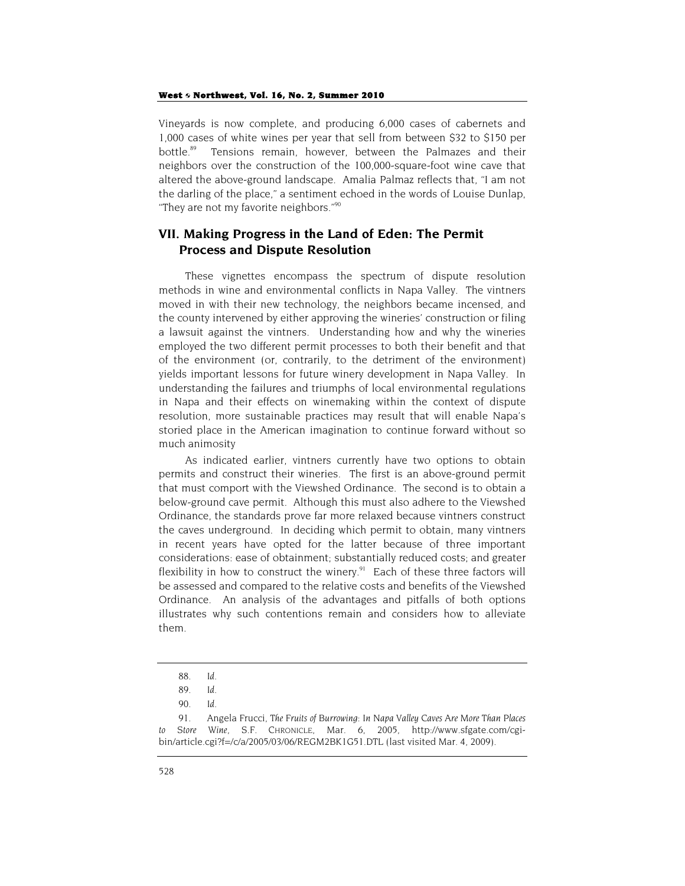Vineyards is now complete, and producing 6,000 cases of cabernets and 1,000 cases of white wines per year that sell from between \$32 to \$150 per bottle.<sup>89</sup> Tensions remain, however, between the Palmazes and their neighbors over the construction of the 100,000-square-foot wine cave that altered the above-ground landscape. Amalia Palmaz reflects that, "I am not the darling of the place," a sentiment echoed in the words of Louise Dunlap, "They are not my favorite neighbors."<sup>90</sup>

## **VII. Making Progress in the Land of Eden: The Permit Process and Dispute Resolution**

These vignettes encompass the spectrum of dispute resolution methods in wine and environmental conflicts in Napa Valley. The vintners moved in with their new technology, the neighbors became incensed, and the county intervened by either approving the wineries' construction or filing a lawsuit against the vintners. Understanding how and why the wineries employed the two different permit processes to both their benefit and that of the environment (or, contrarily, to the detriment of the environment) yields important lessons for future winery development in Napa Valley. In understanding the failures and triumphs of local environmental regulations in Napa and their effects on winemaking within the context of dispute resolution, more sustainable practices may result that will enable Napa's storied place in the American imagination to continue forward without so much animosity

As indicated earlier, vintners currently have two options to obtain permits and construct their wineries. The first is an above-ground permit that must comport with the Viewshed Ordinance. The second is to obtain a below-ground cave permit. Although this must also adhere to the Viewshed Ordinance, the standards prove far more relaxed because vintners construct the caves underground. In deciding which permit to obtain, many vintners in recent years have opted for the latter because of three important considerations: ease of obtainment; substantially reduced costs; and greater flexibility in how to construct the winery. $91$  Each of these three factors will be assessed and compared to the relative costs and benefits of the Viewshed Ordinance. An analysis of the advantages and pitfalls of both options illustrates why such contentions remain and considers how to alleviate them.

<sup>88</sup>*. Id.*

<sup>89</sup>*. Id*.

<sup>90</sup>*. Id*.

<sup>91.</sup> Angela Frucci, *The Fruits of Burrowing: In Napa Valley Caves Are More Than Places to Store Wine*, S.F. CHRONICLE, Mar. 6, 2005, http://www.sfgate.com/cgibin/article.cgi?f=/c/a/2005/03/06/REGM2BK1G51.DTL (last visited Mar. 4, 2009).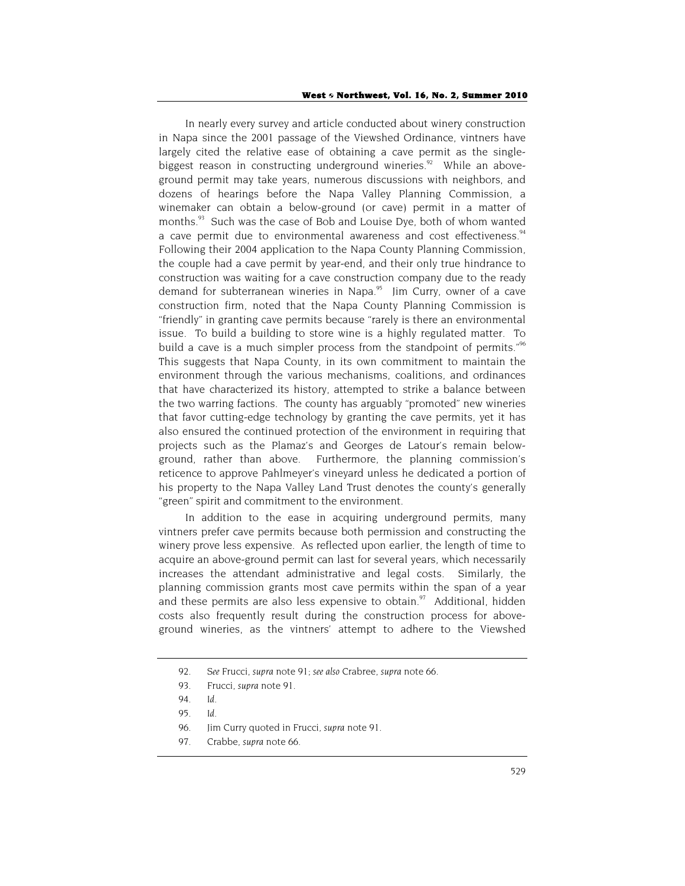In nearly every survey and article conducted about winery construction in Napa since the 2001 passage of the Viewshed Ordinance, vintners have largely cited the relative ease of obtaining a cave permit as the singlebiggest reason in constructing underground wineries. $92$  While an aboveground permit may take years, numerous discussions with neighbors, and dozens of hearings before the Napa Valley Planning Commission, a winemaker can obtain a below-ground (or cave) permit in a matter of months.<sup>93</sup> Such was the case of Bob and Louise Dye, both of whom wanted a cave permit due to environmental awareness and cost effectiveness.<sup>94</sup> Following their 2004 application to the Napa County Planning Commission, the couple had a cave permit by year-end, and their only true hindrance to construction was waiting for a cave construction company due to the ready demand for subterranean wineries in Napa.<sup>95</sup> Jim Curry, owner of a cave construction firm, noted that the Napa County Planning Commission is "friendly" in granting cave permits because "rarely is there an environmental issue. To build a building to store wine is a highly regulated matter. To build a cave is a much simpler process from the standpoint of permits."<sup>96</sup> This suggests that Napa County, in its own commitment to maintain the environment through the various mechanisms, coalitions, and ordinances that have characterized its history, attempted to strike a balance between the two warring factions. The county has arguably "promoted" new wineries that favor cutting-edge technology by granting the cave permits, yet it has also ensured the continued protection of the environment in requiring that projects such as the Plamaz's and Georges de Latour's remain belowground, rather than above. Furthermore, the planning commission's reticence to approve Pahlmeyer's vineyard unless he dedicated a portion of his property to the Napa Valley Land Trust denotes the county's generally "green" spirit and commitment to the environment.

In addition to the ease in acquiring underground permits, many vintners prefer cave permits because both permission and constructing the winery prove less expensive. As reflected upon earlier, the length of time to acquire an above-ground permit can last for several years, which necessarily increases the attendant administrative and legal costs. Similarly, the planning commission grants most cave permits within the span of a year and these permits are also less expensive to obtain. $97$  Additional, hidden costs also frequently result during the construction process for aboveground wineries, as the vintners' attempt to adhere to the Viewshed

<sup>92</sup>*. See* Frucci, *supra* note 91; *see also* Crabree, *supra* note 66.

<sup>93.</sup> Frucci, *supra* note 91.

<sup>94</sup>*. Id*.

<sup>95</sup>*. Id*.

<sup>96.</sup> Jim Curry quoted in Frucci, *supra* note 91.

<sup>97.</sup> Crabbe, *supra* note 66.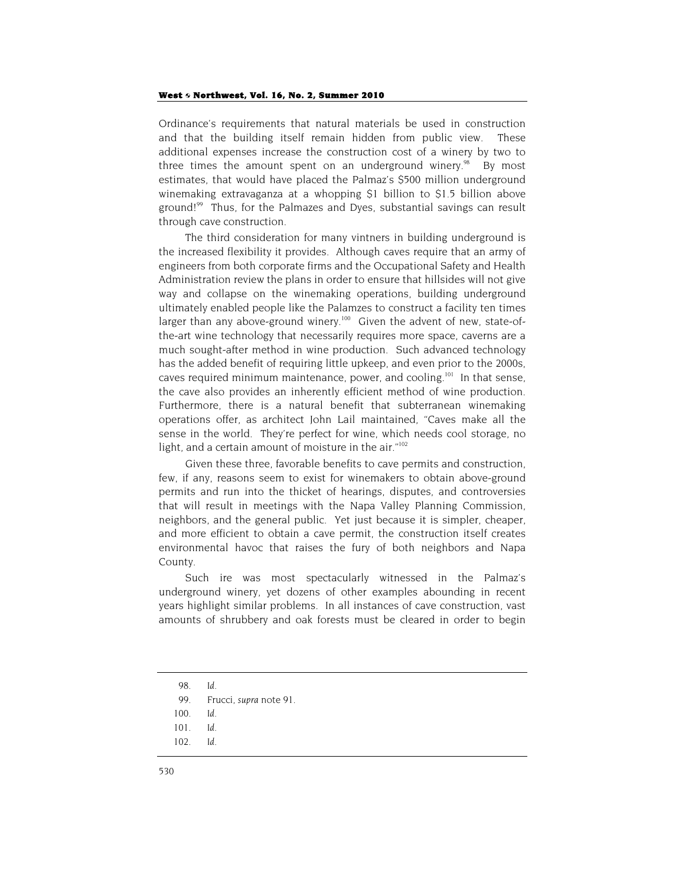Ordinance's requirements that natural materials be used in construction and that the building itself remain hidden from public view. These additional expenses increase the construction cost of a winery by two to three times the amount spent on an underground winery.<sup>98</sup> By most estimates, that would have placed the Palmaz's \$500 million underground winemaking extravaganza at a whopping \$1 billion to \$1.5 billion above ground!<sup>99</sup> Thus, for the Palmazes and Dyes, substantial savings can result through cave construction.

The third consideration for many vintners in building underground is the increased flexibility it provides. Although caves require that an army of engineers from both corporate firms and the Occupational Safety and Health Administration review the plans in order to ensure that hillsides will not give way and collapse on the winemaking operations, building underground ultimately enabled people like the Palamzes to construct a facility ten times larger than any above-ground winery.<sup>100</sup> Given the advent of new, state-ofthe-art wine technology that necessarily requires more space, caverns are a much sought-after method in wine production. Such advanced technology has the added benefit of requiring little upkeep, and even prior to the 2000s, caves required minimum maintenance, power, and cooling.101 In that sense, the cave also provides an inherently efficient method of wine production. Furthermore, there is a natural benefit that subterranean winemaking operations offer, as architect John Lail maintained, "Caves make all the sense in the world. They're perfect for wine, which needs cool storage, no light, and a certain amount of moisture in the air."<sup>102</sup>

Given these three, favorable benefits to cave permits and construction, few, if any, reasons seem to exist for winemakers to obtain above-ground permits and run into the thicket of hearings, disputes, and controversies that will result in meetings with the Napa Valley Planning Commission, neighbors, and the general public. Yet just because it is simpler, cheaper, and more efficient to obtain a cave permit, the construction itself creates environmental havoc that raises the fury of both neighbors and Napa County.

Such ire was most spectacularly witnessed in the Palmaz's underground winery, yet dozens of other examples abounding in recent years highlight similar problems. In all instances of cave construction, vast amounts of shrubbery and oak forests must be cleared in order to begin

<sup>98</sup>*. Id*.

<sup>99.</sup> Frucci, *supra* note 91.

<sup>100</sup>*. Id*.

<sup>101</sup>*. Id*.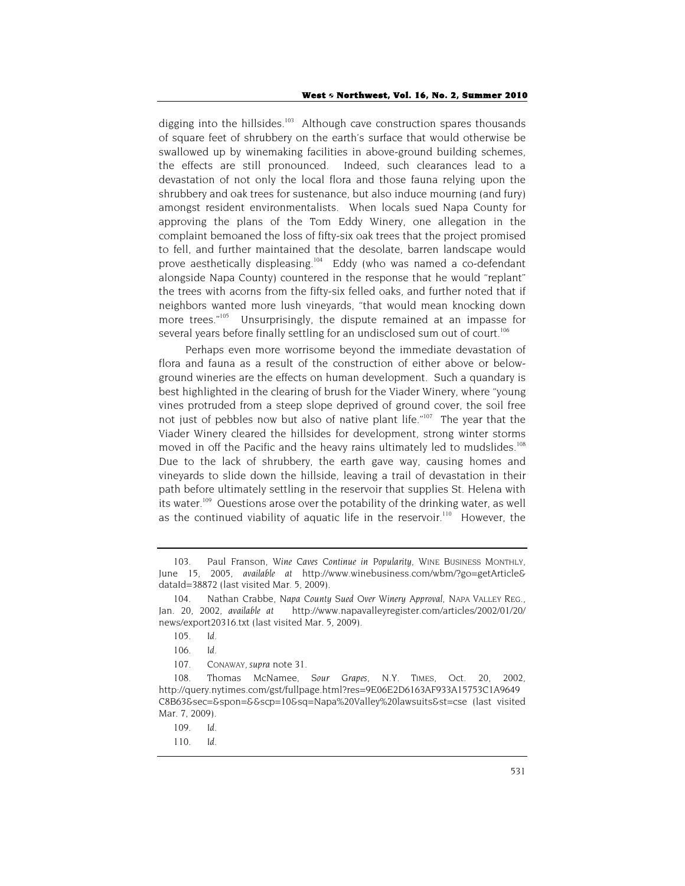digging into the hillsides.<sup>103</sup> Although cave construction spares thousands of square feet of shrubbery on the earth's surface that would otherwise be swallowed up by winemaking facilities in above-ground building schemes, the effects are still pronounced. Indeed, such clearances lead to a devastation of not only the local flora and those fauna relying upon the shrubbery and oak trees for sustenance, but also induce mourning (and fury) amongst resident environmentalists. When locals sued Napa County for approving the plans of the Tom Eddy Winery, one allegation in the complaint bemoaned the loss of fifty-six oak trees that the project promised to fell, and further maintained that the desolate, barren landscape would prove aesthetically displeasing.<sup>104</sup> Eddy (who was named a co-defendant alongside Napa County) countered in the response that he would "replant" the trees with acorns from the fifty-six felled oaks, and further noted that if neighbors wanted more lush vineyards, "that would mean knocking down more trees.<sup>"105</sup> Unsurprisingly, the dispute remained at an impasse for several years before finally settling for an undisclosed sum out of court.<sup>106</sup>

Perhaps even more worrisome beyond the immediate devastation of flora and fauna as a result of the construction of either above or belowground wineries are the effects on human development. Such a quandary is best highlighted in the clearing of brush for the Viader Winery, where "young vines protruded from a steep slope deprived of ground cover, the soil free not just of pebbles now but also of native plant life."<sup>107</sup> The year that the Viader Winery cleared the hillsides for development, strong winter storms moved in off the Pacific and the heavy rains ultimately led to mudslides.<sup>108</sup> Due to the lack of shrubbery, the earth gave way, causing homes and vineyards to slide down the hillside, leaving a trail of devastation in their path before ultimately settling in the reservoir that supplies St. Helena with its water.<sup>109</sup> Questions arose over the potability of the drinking water, as well as the continued viability of aquatic life in the reservoir.<sup>110</sup> However, the

<sup>103.</sup> Paul Franson, *Wine Caves Continue in Popularity*, WINE BUSINESS MONTHLY, June 15, 2005, *available at* http://www.winebusiness.com/wbm/?go=getArticle& dataId=38872 (last visited Mar. 5, 2009).

<sup>104.</sup> Nathan Crabbe, *Napa County Sued Over Winery Approval*, NAPA VALLEY REG., Jan. 20, 2002, *available at* http://www.napavalleyregister.com/articles/2002/01/20/ news/export20316.txt (last visited Mar. 5, 2009).

<sup>105</sup>*. Id*.

<sup>106</sup>*. Id*.

<sup>107.</sup> CONAWAY, *supra* note 31.

<sup>108.</sup> Thomas McNamee, *Sour Grapes*, N.Y. TIMES, Oct. 20, 2002, http://query.nytimes.com/gst/fullpage.html?res=9E06E2D6163AF933A15753C1A9649 C8B63&sec=&spon=&&scp=10&sq=Napa%20Valley%20lawsuits&st=cse (last visited Mar. 7, 2009).

<sup>109</sup>*. Id*.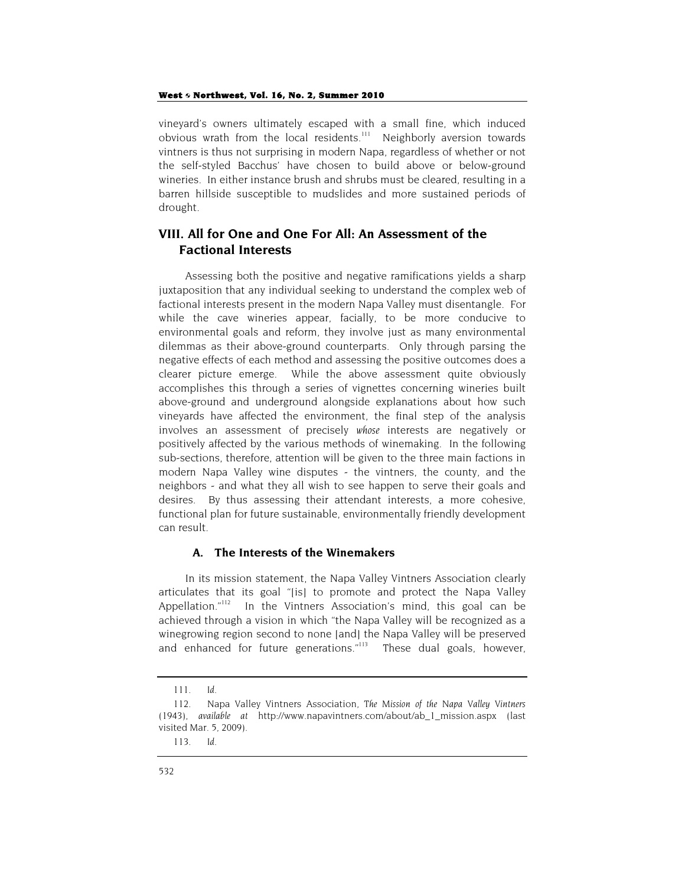#### West  $\diamond$  Northwest, Vol. 16, No. 2, Summer 2010

vineyard's owners ultimately escaped with a small fine, which induced obvious wrath from the local residents.<sup>111</sup> Neighborly aversion towards vintners is thus not surprising in modern Napa, regardless of whether or not the self-styled Bacchus' have chosen to build above or below-ground wineries. In either instance brush and shrubs must be cleared, resulting in a barren hillside susceptible to mudslides and more sustained periods of drought.

## **VIII. All for One and One For All: An Assessment of the Factional Interests**

Assessing both the positive and negative ramifications yields a sharp juxtaposition that any individual seeking to understand the complex web of factional interests present in the modern Napa Valley must disentangle. For while the cave wineries appear, facially, to be more conducive to environmental goals and reform, they involve just as many environmental dilemmas as their above-ground counterparts. Only through parsing the negative effects of each method and assessing the positive outcomes does a clearer picture emerge. While the above assessment quite obviously accomplishes this through a series of vignettes concerning wineries built above-ground and underground alongside explanations about how such vineyards have affected the environment, the final step of the analysis involves an assessment of precisely *whose* interests are negatively or positively affected by the various methods of winemaking. In the following sub-sections, therefore, attention will be given to the three main factions in modern Napa Valley wine disputes - the vintners, the county, and the neighbors - and what they all wish to see happen to serve their goals and desires. By thus assessing their attendant interests, a more cohesive, functional plan for future sustainable, environmentally friendly development can result.

## **A. The Interests of the Winemakers**

In its mission statement, the Napa Valley Vintners Association clearly articulates that its goal "[is] to promote and protect the Napa Valley Appellation."<sup>112</sup> In the Vintners Association's mind, this goal can be achieved through a vision in which "the Napa Valley will be recognized as a winegrowing region second to none [and] the Napa Valley will be preserved and enhanced for future generations."<sup>113</sup> These dual goals, however,

<sup>111</sup>*. Id*.

<sup>112.</sup> Napa Valley Vintners Association, *The Mission of the Napa Valley Vintners* (1943), *available at* http://www.napavintners.com/about/ab\_1\_mission.aspx (last visited Mar. 5, 2009).

<sup>113</sup>*. Id.*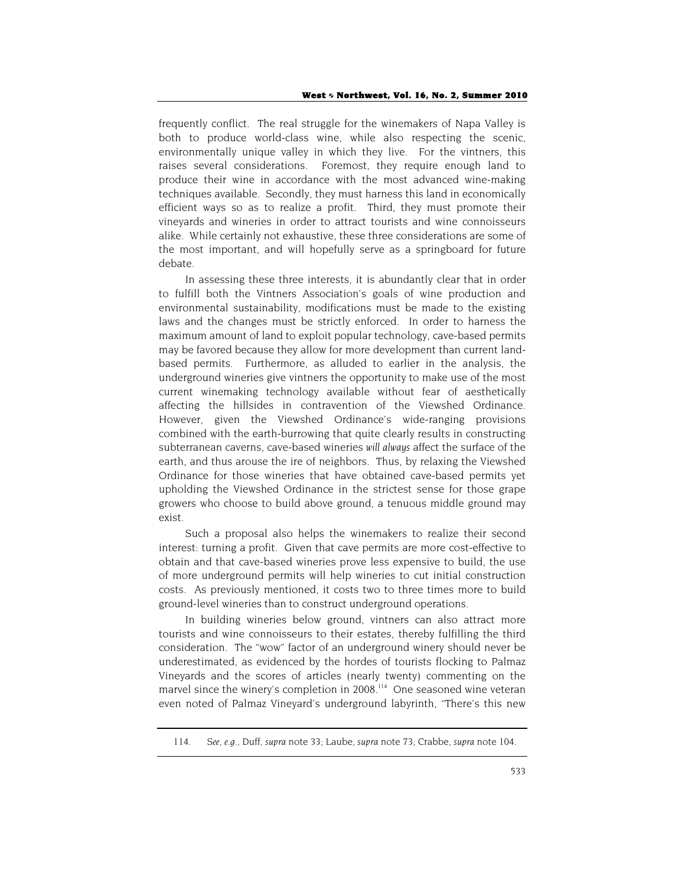frequently conflict. The real struggle for the winemakers of Napa Valley is both to produce world-class wine, while also respecting the scenic, environmentally unique valley in which they live. For the vintners, this raises several considerations. Foremost, they require enough land to produce their wine in accordance with the most advanced wine-making techniques available. Secondly, they must harness this land in economically efficient ways so as to realize a profit. Third, they must promote their vineyards and wineries in order to attract tourists and wine connoisseurs alike. While certainly not exhaustive, these three considerations are some of the most important, and will hopefully serve as a springboard for future debate.

In assessing these three interests, it is abundantly clear that in order to fulfill both the Vintners Association's goals of wine production and environmental sustainability, modifications must be made to the existing laws and the changes must be strictly enforced. In order to harness the maximum amount of land to exploit popular technology, cave-based permits may be favored because they allow for more development than current landbased permits. Furthermore, as alluded to earlier in the analysis, the underground wineries give vintners the opportunity to make use of the most current winemaking technology available without fear of aesthetically affecting the hillsides in contravention of the Viewshed Ordinance. However, given the Viewshed Ordinance's wide-ranging provisions combined with the earth-burrowing that quite clearly results in constructing subterranean caverns, cave-based wineries *will always* affect the surface of the earth, and thus arouse the ire of neighbors. Thus, by relaxing the Viewshed Ordinance for those wineries that have obtained cave-based permits yet upholding the Viewshed Ordinance in the strictest sense for those grape growers who choose to build above ground, a tenuous middle ground may exist.

Such a proposal also helps the winemakers to realize their second interest: turning a profit. Given that cave permits are more cost-effective to obtain and that cave-based wineries prove less expensive to build, the use of more underground permits will help wineries to cut initial construction costs. As previously mentioned, it costs two to three times more to build ground-level wineries than to construct underground operations.

In building wineries below ground, vintners can also attract more tourists and wine connoisseurs to their estates, thereby fulfilling the third consideration. The "wow" factor of an underground winery should never be underestimated, as evidenced by the hordes of tourists flocking to Palmaz Vineyards and the scores of articles (nearly twenty) commenting on the marvel since the winery's completion in 2008.<sup>114</sup> One seasoned wine veteran even noted of Palmaz Vineyard's underground labyrinth, "There's this new

<sup>114</sup>*. See, e.g.*, Duff, *supra* note 33; Laube, *supra* note 73; Crabbe, *supra* note 104.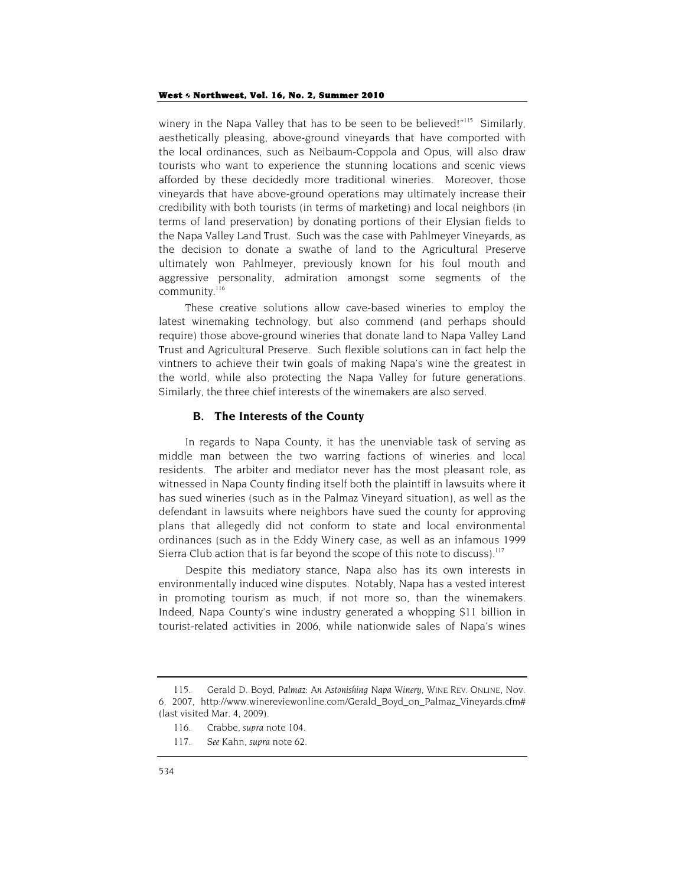winery in the Napa Valley that has to be seen to be believed!" $115$  Similarly, aesthetically pleasing, above-ground vineyards that have comported with the local ordinances, such as Neibaum-Coppola and Opus, will also draw tourists who want to experience the stunning locations and scenic views afforded by these decidedly more traditional wineries. Moreover, those vineyards that have above-ground operations may ultimately increase their credibility with both tourists (in terms of marketing) and local neighbors (in terms of land preservation) by donating portions of their Elysian fields to the Napa Valley Land Trust. Such was the case with Pahlmeyer Vineyards, as the decision to donate a swathe of land to the Agricultural Preserve ultimately won Pahlmeyer, previously known for his foul mouth and aggressive personality, admiration amongst some segments of the community.<sup>116</sup>

These creative solutions allow cave-based wineries to employ the latest winemaking technology, but also commend (and perhaps should require) those above-ground wineries that donate land to Napa Valley Land Trust and Agricultural Preserve. Such flexible solutions can in fact help the vintners to achieve their twin goals of making Napa's wine the greatest in the world, while also protecting the Napa Valley for future generations. Similarly, the three chief interests of the winemakers are also served.

#### **B. The Interests of the County**

In regards to Napa County, it has the unenviable task of serving as middle man between the two warring factions of wineries and local residents. The arbiter and mediator never has the most pleasant role, as witnessed in Napa County finding itself both the plaintiff in lawsuits where it has sued wineries (such as in the Palmaz Vineyard situation), as well as the defendant in lawsuits where neighbors have sued the county for approving plans that allegedly did not conform to state and local environmental ordinances (such as in the Eddy Winery case, as well as an infamous 1999 Sierra Club action that is far beyond the scope of this note to discuss).<sup>117</sup>

Despite this mediatory stance, Napa also has its own interests in environmentally induced wine disputes. Notably, Napa has a vested interest in promoting tourism as much, if not more so, than the winemakers. Indeed, Napa County's wine industry generated a whopping \$11 billion in tourist-related activities in 2006, while nationwide sales of Napa's wines

<sup>115.</sup> Gerald D. Boyd, *Palmaz: An Astonishing Napa Winery*, WINE REV. ONLINE, Nov. 6, 2007, http://www.winereviewonline.com/Gerald\_Boyd\_on\_Palmaz\_Vineyards.cfm# (last visited Mar. 4, 2009).

<sup>116.</sup> Crabbe, *supra* note 104.

<sup>117</sup>*. See* Kahn, *supra* note 62.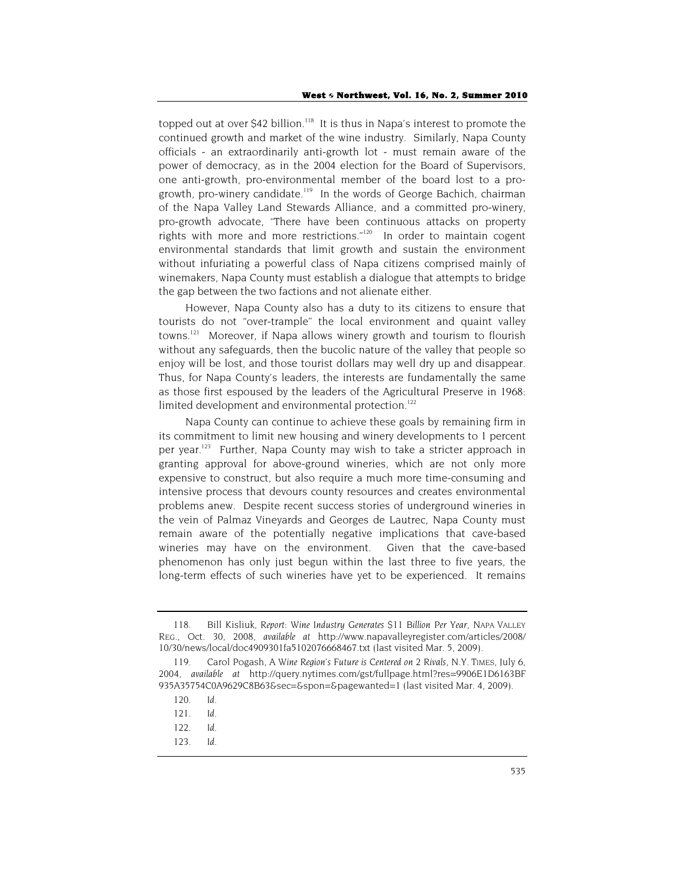topped out at over \$42 billion.<sup>118</sup> It is thus in Napa's interest to promote the continued growth and market of the wine industry. Similarly, Napa County officials - an extraordinarily anti-growth lot - must remain aware of the power of democracy, as in the 2004 election for the Board of Supervisors, one anti-growth, pro-environmental member of the board lost to a progrowth, pro-winery candidate.<sup>119</sup> In the words of George Bachich, chairman of the Napa Valley Land Stewards Alliance, and a committed pro-winery, pro-growth advocate, "There have been continuous attacks on property rights with more and more restrictions."<sup>120</sup> In order to maintain cogent environmental standards that limit growth and sustain the environment without infuriating a powerful class of Napa citizens comprised mainly of winemakers, Napa County must establish a dialogue that attempts to bridge the gap between the two factions and not alienate either.

However, Napa County also has a duty to its citizens to ensure that tourists do not "over-trample" the local environment and quaint valley towns.<sup>121</sup> Moreover, if Napa allows winery growth and tourism to flourish without any safeguards, then the bucolic nature of the valley that people so enjoy will be lost, and those tourist dollars may well dry up and disappear. Thus, for Napa County's leaders, the interests are fundamentally the same as those first espoused by the leaders of the Agricultural Preserve in 1968: limited development and environmental protection.<sup>122</sup>

Napa County can continue to achieve these goals by remaining firm in its commitment to limit new housing and winery developments to 1 percent per year.<sup>123</sup> Further, Napa County may wish to take a stricter approach in granting approval for above-ground wineries, which are not only more expensive to construct, but also require a much more time-consuming and intensive process that devours county resources and creates environmental problems anew. Despite recent success stories of underground wineries in the vein of Palmaz Vineyards and Georges de Lautrec, Napa County must remain aware of the potentially negative implications that cave-based wineries may have on the environment. Given that the cave-based phenomenon has only just begun within the last three to five years, the long-term effects of such wineries have yet to be experienced. It remains

<sup>118.</sup> Bill Kisliuk, *Report: Wine Industry Generates \$11 Billion Per Year*, NAPA VALLEY REG., Oct. 30, 2008, *available at* http://www.napavalleyregister.com/articles/2008/ 10/30/news/local/doc4909301fa5102076668467.txt (last visited Mar. 5, 2009).

<sup>119.</sup> Carol Pogash, *A Wine Region's Future is Centered on 2 Rivals,* N.Y. TIMES, July 6, 2004, *available at* http://query.nytimes.com/gst/fullpage.html?res=9906E1D6163BF 935A35754C0A9629C8B63&sec=&spon=&pagewanted=1 (last visited Mar. 4, 2009).

<sup>120</sup>*. Id*.

<sup>121</sup>*. Id.*

<sup>122</sup>*. Id*.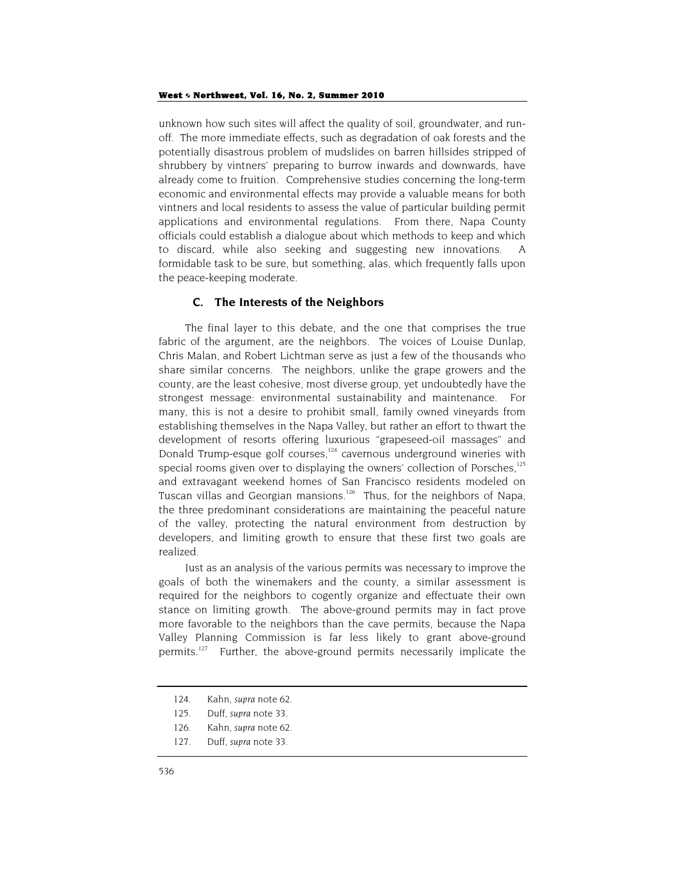unknown how such sites will affect the quality of soil, groundwater, and runoff. The more immediate effects, such as degradation of oak forests and the potentially disastrous problem of mudslides on barren hillsides stripped of shrubbery by vintners' preparing to burrow inwards and downwards, have already come to fruition. Comprehensive studies concerning the long-term economic and environmental effects may provide a valuable means for both vintners and local residents to assess the value of particular building permit applications and environmental regulations. From there, Napa County officials could establish a dialogue about which methods to keep and which to discard, while also seeking and suggesting new innovations. formidable task to be sure, but something, alas, which frequently falls upon the peace-keeping moderate.

### **C. The Interests of the Neighbors**

The final layer to this debate, and the one that comprises the true fabric of the argument, are the neighbors. The voices of Louise Dunlap, Chris Malan, and Robert Lichtman serve as just a few of the thousands who share similar concerns. The neighbors, unlike the grape growers and the county, are the least cohesive, most diverse group, yet undoubtedly have the strongest message: environmental sustainability and maintenance. For many, this is not a desire to prohibit small, family owned vineyards from establishing themselves in the Napa Valley, but rather an effort to thwart the development of resorts offering luxurious "grapeseed-oil massages" and Donald Trump-esque golf courses,<sup>124</sup> cavernous underground wineries with special rooms given over to displaying the owners' collection of Porsches,<sup>125</sup> and extravagant weekend homes of San Francisco residents modeled on Tuscan villas and Georgian mansions.<sup>126</sup> Thus, for the neighbors of Napa, the three predominant considerations are maintaining the peaceful nature of the valley, protecting the natural environment from destruction by developers, and limiting growth to ensure that these first two goals are realized.

Just as an analysis of the various permits was necessary to improve the goals of both the winemakers and the county, a similar assessment is required for the neighbors to cogently organize and effectuate their own stance on limiting growth. The above-ground permits may in fact prove more favorable to the neighbors than the cave permits, because the Napa Valley Planning Commission is far less likely to grant above-ground permits.<sup>127</sup> Further, the above-ground permits necessarily implicate the

127. Duff, *supra* note 33.

<sup>124.</sup> Kahn, *supra* note 62.

<sup>125.</sup> Duff, *supra* note 33.

<sup>126.</sup> Kahn, *supra* note 62.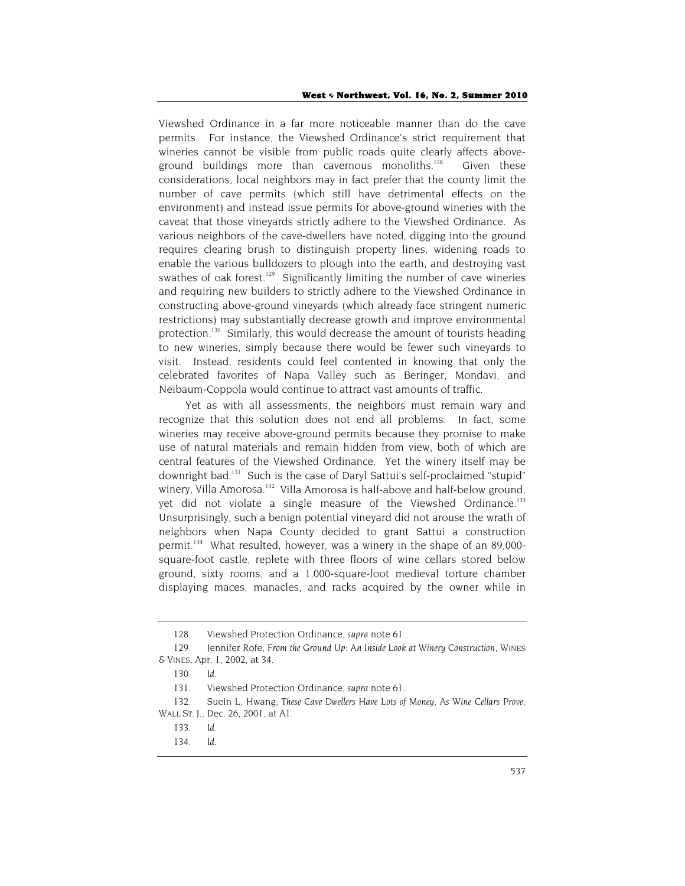Viewshed Ordinance in a far more noticeable manner than do the cave permits. For instance, the Viewshed Ordinance's strict requirement that wineries cannot be visible from public roads quite clearly affects aboveground buildings more than cavernous monoliths.<sup>128</sup> Given these considerations, local neighbors may in fact prefer that the county limit the number of cave permits (which still have detrimental effects on the environment) and instead issue permits for above-ground wineries with the caveat that those vineyards strictly adhere to the Viewshed Ordinance. As various neighbors of the cave-dwellers have noted, digging into the ground requires clearing brush to distinguish property lines, widening roads to enable the various bulldozers to plough into the earth, and destroying vast swathes of oak forest.<sup>129</sup> Significantly limiting the number of cave wineries and requiring new builders to strictly adhere to the Viewshed Ordinance in constructing above-ground vineyards (which already face stringent numeric restrictions) may substantially decrease growth and improve environmental protection.<sup>130</sup> Similarly, this would decrease the amount of tourists heading to new wineries, simply because there would be fewer such vineyards to visit. Instead, residents could feel contented in knowing that only the celebrated favorites of Napa Valley such as Beringer, Mondavi, and Neibaum-Coppola would continue to attract vast amounts of traffic.

Yet as with all assessments, the neighbors must remain wary and recognize that this solution does not end all problems. In fact, some wineries may receive above-ground permits because they promise to make use of natural materials and remain hidden from view, both of which are central features of the Viewshed Ordinance. Yet the winery itself may be downright bad.<sup>131</sup> Such is the case of Daryl Sattui's self-proclaimed "stupid" winery, Villa Amorosa.<sup>132</sup> Villa Amorosa is half-above and half-below ground, yet did not violate a single measure of the Viewshed Ordinance.<sup>133</sup> Unsurprisingly, such a benign potential vineyard did not arouse the wrath of neighbors when Napa County decided to grant Sattui a construction permit.<sup>134</sup> What resulted, however, was a winery in the shape of an 89,000square-foot castle, replete with three floors of wine cellars stored below ground, sixty rooms, and a 1,000-square-foot medieval torture chamber displaying maces, manacles, and racks acquired by the owner while in

<sup>128.</sup> Viewshed Protection Ordinance, *supra* note 61.

<sup>129.</sup> Jennifer Rofe, *From the Ground Up: An Inside Look at Winery Construction*, WINES & VINES, Apr. 1, 2002, at 34.

<sup>130</sup>*. Id*.

<sup>131.</sup> Viewshed Protection Ordinance, *supra* note 61.

<sup>132.</sup> Suein L. Hwang, *These Cave Dwellers Have Lots of Money, As Wine Cellars Prove*, WALL ST. J., Dec. 26, 2001, at A1.

<sup>133</sup>*. Id*.

<sup>134</sup>*. Id*.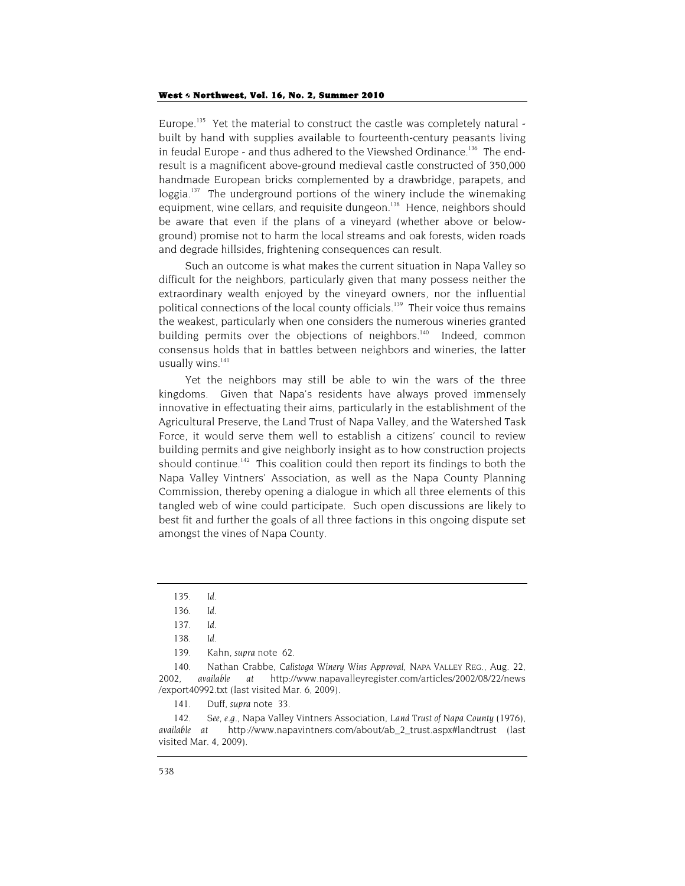#### West  $\diamond$  Northwest, Vol. 16, No. 2, Summer 2010

Europe.<sup>135</sup> Yet the material to construct the castle was completely natural built by hand with supplies available to fourteenth-century peasants living in feudal Europe - and thus adhered to the Viewshed Ordinance.<sup>136</sup> The endresult is a magnificent above-ground medieval castle constructed of 350,000 handmade European bricks complemented by a drawbridge, parapets, and loggia.<sup>137</sup> The underground portions of the winery include the winemaking equipment, wine cellars, and requisite dungeon.<sup>138</sup> Hence, neighbors should be aware that even if the plans of a vineyard (whether above or belowground) promise not to harm the local streams and oak forests, widen roads and degrade hillsides, frightening consequences can result.

Such an outcome is what makes the current situation in Napa Valley so difficult for the neighbors, particularly given that many possess neither the extraordinary wealth enjoyed by the vineyard owners, nor the influential political connections of the local county officials.<sup>139</sup> Their voice thus remains the weakest, particularly when one considers the numerous wineries granted building permits over the objections of neighbors.<sup>140</sup> Indeed, common consensus holds that in battles between neighbors and wineries, the latter usually wins.<sup>141</sup>

Yet the neighbors may still be able to win the wars of the three kingdoms. Given that Napa's residents have always proved immensely innovative in effectuating their aims, particularly in the establishment of the Agricultural Preserve, the Land Trust of Napa Valley, and the Watershed Task Force, it would serve them well to establish a citizens' council to review building permits and give neighborly insight as to how construction projects should continue.<sup>142</sup> This coalition could then report its findings to both the Napa Valley Vintners' Association, as well as the Napa County Planning Commission, thereby opening a dialogue in which all three elements of this tangled web of wine could participate. Such open discussions are likely to best fit and further the goals of all three factions in this ongoing dispute set amongst the vines of Napa County.

<sup>135</sup>*. Id.*

<sup>136</sup>*. Id*.

<sup>137</sup>*. Id*.

<sup>138</sup>*. Id*.

<sup>139.</sup> Kahn, *supra* note 62.

<sup>140.</sup> Nathan Crabbe, *Calistoga Winery Wins Approval*, NAPA VALLEY REG., Aug. 22, 2002, *available at* http://www.napavalleyregister.com/articles/2002/08/22/news /export40992.txt (last visited Mar. 6, 2009).

<sup>141.</sup> Duff, *supra* note 33.

<sup>142</sup>*. See, e.g.*, Napa Valley Vintners Association, *Land Trust of Napa County* (1976), *available at* http://www.napavintners.com/about/ab\_2\_trust.aspx#landtrust (last visited Mar. 4, 2009).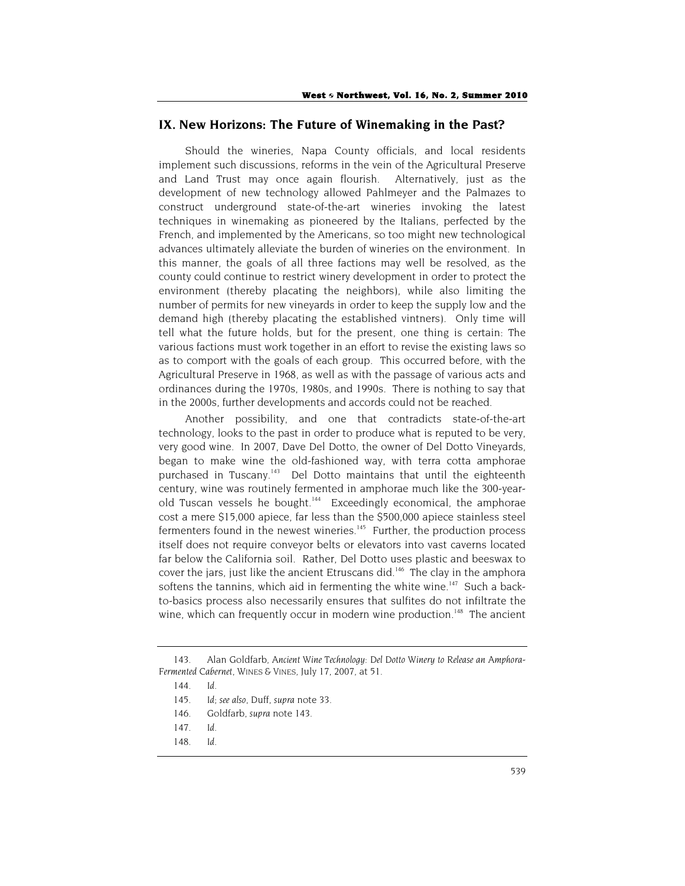## **IX. New Horizons: The Future of Winemaking in the Past?**

Should the wineries, Napa County officials, and local residents implement such discussions, reforms in the vein of the Agricultural Preserve and Land Trust may once again flourish. Alternatively, just as the development of new technology allowed Pahlmeyer and the Palmazes to construct underground state-of-the-art wineries invoking the latest techniques in winemaking as pioneered by the Italians, perfected by the French, and implemented by the Americans, so too might new technological advances ultimately alleviate the burden of wineries on the environment. In this manner, the goals of all three factions may well be resolved, as the county could continue to restrict winery development in order to protect the environment (thereby placating the neighbors), while also limiting the number of permits for new vineyards in order to keep the supply low and the demand high (thereby placating the established vintners). Only time will tell what the future holds, but for the present, one thing is certain: The various factions must work together in an effort to revise the existing laws so as to comport with the goals of each group. This occurred before, with the Agricultural Preserve in 1968, as well as with the passage of various acts and ordinances during the 1970s, 1980s, and 1990s. There is nothing to say that in the 2000s, further developments and accords could not be reached.

Another possibility, and one that contradicts state-of-the-art technology, looks to the past in order to produce what is reputed to be very, very good wine. In 2007, Dave Del Dotto, the owner of Del Dotto Vineyards, began to make wine the old-fashioned way, with terra cotta amphorae purchased in Tuscany.<sup>143</sup> Del Dotto maintains that until the eighteenth century, wine was routinely fermented in amphorae much like the 300-yearold Tuscan vessels he bought.<sup>144</sup> Exceedingly economical, the amphorae cost a mere \$15,000 apiece, far less than the \$500,000 apiece stainless steel fermenters found in the newest wineries.<sup>145</sup> Further, the production process itself does not require conveyor belts or elevators into vast caverns located far below the California soil. Rather, Del Dotto uses plastic and beeswax to cover the jars, just like the ancient Etruscans did.<sup>146</sup> The clay in the amphora softens the tannins, which aid in fermenting the white wine.<sup>147</sup> Such a backto-basics process also necessarily ensures that sulfites do not infiltrate the wine, which can frequently occur in modern wine production.<sup>148</sup> The ancient

<sup>143.</sup> Alan Goldfarb, *Ancient Wine Technology: Del Dotto Winery to Release an Amphora-Fermented Cabernet*, WINES & VINES, July 17, 2007, at 51.

<sup>144</sup>*. Id*.

<sup>145</sup>*. Id*; *see also*, Duff, *supra* note 33.

<sup>146.</sup> Goldfarb, *supra* note 143.

<sup>147</sup>*. Id*.